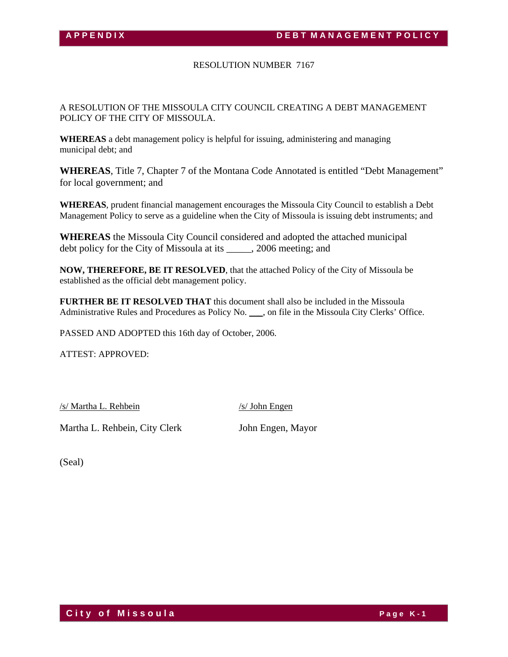# RESOLUTION NUMBER 7167

A RESOLUTION OF THE MISSOULA CITY COUNCIL CREATING A DEBT MANAGEMENT POLICY OF THE CITY OF MISSOULA.

**WHEREAS** a debt management policy is helpful for issuing, administering and managing municipal debt; and

**WHEREAS**, Title 7, Chapter 7 of the Montana Code Annotated is entitled "Debt Management" for local government; and

**WHEREAS**, prudent financial management encourages the Missoula City Council to establish a Debt Management Policy to serve as a guideline when the City of Missoula is issuing debt instruments; and

**WHEREAS** the Missoula City Council considered and adopted the attached municipal debt policy for the City of Missoula at its \_\_\_\_\_, 2006 meeting; and

**NOW, THEREFORE, BE IT RESOLVED**, that the attached Policy of the City of Missoula be established as the official debt management policy.

**FURTHER BE IT RESOLVED THAT** this document shall also be included in the Missoula Administrative Rules and Procedures as Policy No. \_\_\_, on file in the Missoula City Clerks' Office.

PASSED AND ADOPTED this 16th day of October, 2006.

ATTEST: APPROVED:

/s/ Martha L. Rehbein /s/ John Engen

Martha L. Rehbein, City Clerk John Engen, Mayor

(Seal)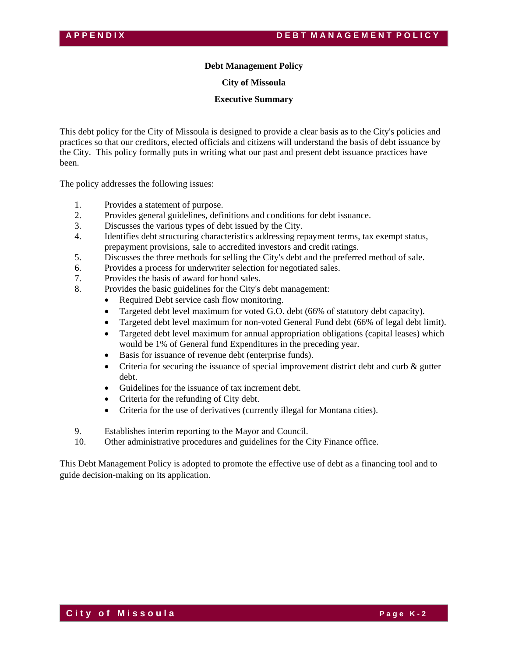# **Debt Management Policy**

**City of Missoula** 

**Executive Summary** 

This debt policy for the City of Missoula is designed to provide a clear basis as to the City's policies and practices so that our creditors, elected officials and citizens will understand the basis of debt issuance by the City. This policy formally puts in writing what our past and present debt issuance practices have been.

The policy addresses the following issues:

- 1. Provides a statement of purpose.
- 2. Provides general guidelines, definitions and conditions for debt issuance.
- 3. Discusses the various types of debt issued by the City.
- 4. Identifies debt structuring characteristics addressing repayment terms, tax exempt status, prepayment provisions, sale to accredited investors and credit ratings.
- 5. Discusses the three methods for selling the City's debt and the preferred method of sale.
- 6. Provides a process for underwriter selection for negotiated sales.
- 7. Provides the basis of award for bond sales.
- 8. Provides the basic guidelines for the City's debt management:
	- Required Debt service cash flow monitoring.
	- Targeted debt level maximum for voted G.O. debt (66% of statutory debt capacity).
	- Targeted debt level maximum for non-voted General Fund debt (66% of legal debt limit).
	- Targeted debt level maximum for annual appropriation obligations (capital leases) which would be 1% of General fund Expenditures in the preceding year.
	- Basis for issuance of revenue debt (enterprise funds).
	- Criteria for securing the issuance of special improvement district debt and curb & gutter debt.
	- Guidelines for the issuance of tax increment debt.
	- Criteria for the refunding of City debt.
	- Criteria for the use of derivatives (currently illegal for Montana cities).
- 9. Establishes interim reporting to the Mayor and Council.
- 10. Other administrative procedures and guidelines for the City Finance office.

This Debt Management Policy is adopted to promote the effective use of debt as a financing tool and to guide decision-making on its application.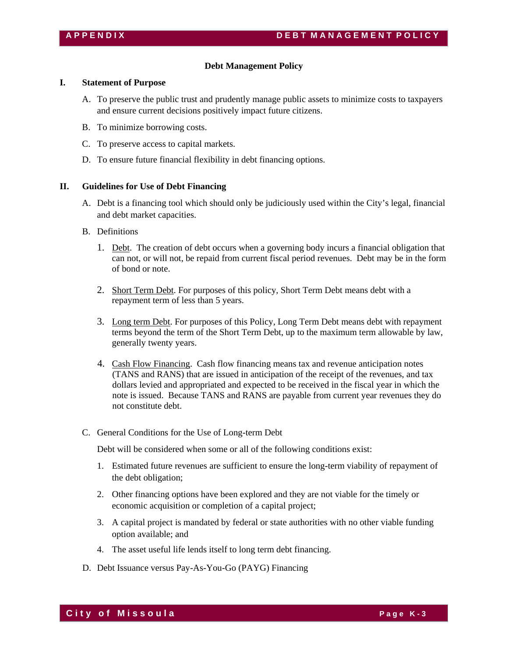# **Debt Management Policy**

# **I. Statement of Purpose**

- A. To preserve the public trust and prudently manage public assets to minimize costs to taxpayers and ensure current decisions positively impact future citizens.
- B. To minimize borrowing costs.
- C. To preserve access to capital markets.
- D. To ensure future financial flexibility in debt financing options.

# **II. Guidelines for Use of Debt Financing**

- A. Debt is a financing tool which should only be judiciously used within the City's legal, financial and debt market capacities.
- B. Definitions
	- 1. Debt. The creation of debt occurs when a governing body incurs a financial obligation that can not, or will not, be repaid from current fiscal period revenues. Debt may be in the form of bond or note.
	- 2. Short Term Debt. For purposes of this policy, Short Term Debt means debt with a repayment term of less than 5 years.
	- 3. Long term Debt. For purposes of this Policy, Long Term Debt means debt with repayment terms beyond the term of the Short Term Debt, up to the maximum term allowable by law, generally twenty years.
	- 4. Cash Flow Financing. Cash flow financing means tax and revenue anticipation notes (TANS and RANS) that are issued in anticipation of the receipt of the revenues, and tax dollars levied and appropriated and expected to be received in the fiscal year in which the note is issued. Because TANS and RANS are payable from current year revenues they do not constitute debt.
- C. General Conditions for the Use of Long-term Debt

Debt will be considered when some or all of the following conditions exist:

- 1. Estimated future revenues are sufficient to ensure the long-term viability of repayment of the debt obligation;
- 2. Other financing options have been explored and they are not viable for the timely or economic acquisition or completion of a capital project;
- 3. A capital project is mandated by federal or state authorities with no other viable funding option available; and
- 4. The asset useful life lends itself to long term debt financing.
- D. Debt Issuance versus Pay-As-You-Go (PAYG) Financing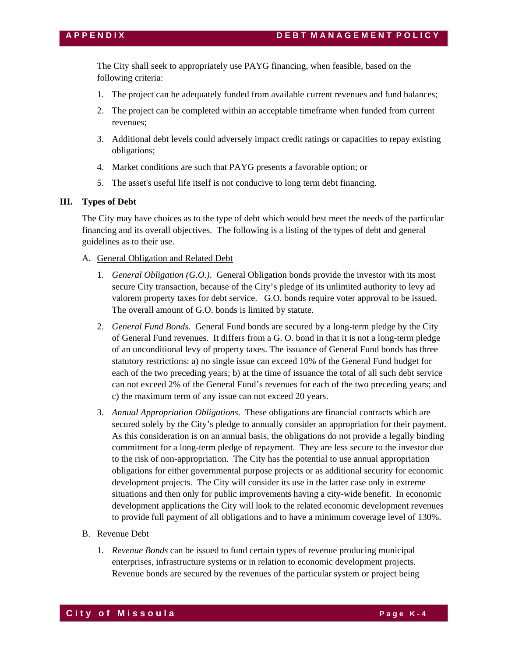The City shall seek to appropriately use PAYG financing, when feasible, based on the following criteria:

- 1. The project can be adequately funded from available current revenues and fund balances;
- 2. The project can be completed within an acceptable timeframe when funded from current revenues;
- 3. Additional debt levels could adversely impact credit ratings or capacities to repay existing obligations;
- 4. Market conditions are such that PAYG presents a favorable option; or
- 5. The asset's useful life itself is not conducive to long term debt financing.

# **III. Types of Debt**

The City may have choices as to the type of debt which would best meet the needs of the particular financing and its overall objectives. The following is a listing of the types of debt and general guidelines as to their use.

## A. General Obligation and Related Debt

- 1. *General Obligation (G.O.)*. General Obligation bonds provide the investor with its most secure City transaction, because of the City's pledge of its unlimited authority to levy ad valorem property taxes for debt service. G.O. bonds require voter approval to be issued. The overall amount of G.O. bonds is limited by statute.
- 2. *General Fund Bonds.* General Fund bonds are secured by a long-term pledge by the City of General Fund revenues. It differs from a G. O. bond in that it is not a long-term pledge of an unconditional levy of property taxes. The issuance of General Fund bonds has three statutory restrictions: a) no single issue can exceed 10% of the General Fund budget for each of the two preceding years; b) at the time of issuance the total of all such debt service can not exceed 2% of the General Fund's revenues for each of the two preceding years; and c) the maximum term of any issue can not exceed 20 years.
- 3. *Annual Appropriation Obligations*. These obligations are financial contracts which are secured solely by the City's pledge to annually consider an appropriation for their payment. As this consideration is on an annual basis, the obligations do not provide a legally binding commitment for a long-term pledge of repayment. They are less secure to the investor due to the risk of non-appropriation. The City has the potential to use annual appropriation obligations for either governmental purpose projects or as additional security for economic development projects. The City will consider its use in the latter case only in extreme situations and then only for public improvements having a city-wide benefit. In economic development applications the City will look to the related economic development revenues to provide full payment of all obligations and to have a minimum coverage level of 130%.

# B. Revenue Debt

1. *Revenue Bonds* can be issued to fund certain types of revenue producing municipal enterprises, infrastructure systems or in relation to economic development projects. Revenue bonds are secured by the revenues of the particular system or project being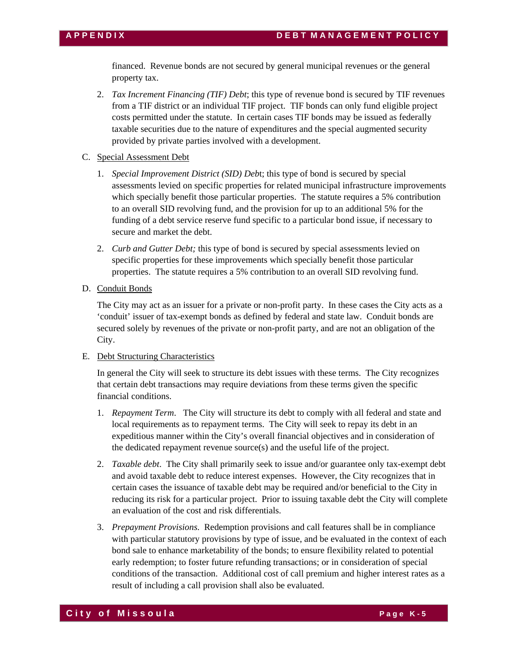financed. Revenue bonds are not secured by general municipal revenues or the general property tax.

- 2. *Tax Increment Financing (TIF) Debt*; this type of revenue bond is secured by TIF revenues from a TIF district or an individual TIF project. TIF bonds can only fund eligible project costs permitted under the statute. In certain cases TIF bonds may be issued as federally taxable securities due to the nature of expenditures and the special augmented security provided by private parties involved with a development.
- C. Special Assessment Debt
	- 1. *Special Improvement District (SID) Deb*t; this type of bond is secured by special assessments levied on specific properties for related municipal infrastructure improvements which specially benefit those particular properties. The statute requires a 5% contribution to an overall SID revolving fund, and the provision for up to an additional 5% for the funding of a debt service reserve fund specific to a particular bond issue, if necessary to secure and market the debt.
	- 2. *Curb and Gutter Debt;* this type of bond is secured by special assessments levied on specific properties for these improvements which specially benefit those particular properties. The statute requires a 5% contribution to an overall SID revolving fund.
- D. Conduit Bonds

The City may act as an issuer for a private or non-profit party. In these cases the City acts as a 'conduit' issuer of tax-exempt bonds as defined by federal and state law. Conduit bonds are secured solely by revenues of the private or non-profit party, and are not an obligation of the City.

# E. Debt Structuring Characteristics

In general the City will seek to structure its debt issues with these terms. The City recognizes that certain debt transactions may require deviations from these terms given the specific financial conditions.

- 1. *Repayment Term*. The City will structure its debt to comply with all federal and state and local requirements as to repayment terms. The City will seek to repay its debt in an expeditious manner within the City's overall financial objectives and in consideration of the dedicated repayment revenue source(s) and the useful life of the project.
- 2. *Taxable debt*. The City shall primarily seek to issue and/or guarantee only tax-exempt debt and avoid taxable debt to reduce interest expenses. However, the City recognizes that in certain cases the issuance of taxable debt may be required and/or beneficial to the City in reducing its risk for a particular project. Prior to issuing taxable debt the City will complete an evaluation of the cost and risk differentials.
- 3. *Prepayment Provisions*. Redemption provisions and call features shall be in compliance with particular statutory provisions by type of issue, and be evaluated in the context of each bond sale to enhance marketability of the bonds; to ensure flexibility related to potential early redemption; to foster future refunding transactions; or in consideration of special conditions of the transaction. Additional cost of call premium and higher interest rates as a result of including a call provision shall also be evaluated.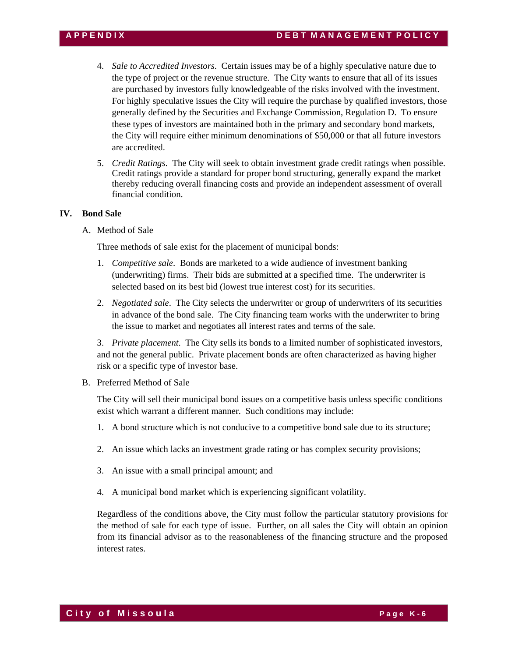- 4. *Sale to Accredited Investors*. Certain issues may be of a highly speculative nature due to the type of project or the revenue structure. The City wants to ensure that all of its issues are purchased by investors fully knowledgeable of the risks involved with the investment. For highly speculative issues the City will require the purchase by qualified investors, those generally defined by the Securities and Exchange Commission, Regulation D. To ensure these types of investors are maintained both in the primary and secondary bond markets, the City will require either minimum denominations of \$50,000 or that all future investors are accredited.
- 5. *Credit Ratings*. The City will seek to obtain investment grade credit ratings when possible. Credit ratings provide a standard for proper bond structuring, generally expand the market thereby reducing overall financing costs and provide an independent assessment of overall financial condition.

# **IV. Bond Sale**

A. Method of Sale

Three methods of sale exist for the placement of municipal bonds:

- 1. *Competitive sale*. Bonds are marketed to a wide audience of investment banking (underwriting) firms. Their bids are submitted at a specified time. The underwriter is selected based on its best bid (lowest true interest cost) for its securities.
- 2. *Negotiated sale*. The City selects the underwriter or group of underwriters of its securities in advance of the bond sale. The City financing team works with the underwriter to bring the issue to market and negotiates all interest rates and terms of the sale.

3. *Private placement*. The City sells its bonds to a limited number of sophisticated investors, and not the general public. Private placement bonds are often characterized as having higher risk or a specific type of investor base.

B. Preferred Method of Sale

The City will sell their municipal bond issues on a competitive basis unless specific conditions exist which warrant a different manner. Such conditions may include:

- 1. A bond structure which is not conducive to a competitive bond sale due to its structure;
- 2. An issue which lacks an investment grade rating or has complex security provisions;
- 3. An issue with a small principal amount; and
- 4. A municipal bond market which is experiencing significant volatility.

Regardless of the conditions above, the City must follow the particular statutory provisions for the method of sale for each type of issue. Further, on all sales the City will obtain an opinion from its financial advisor as to the reasonableness of the financing structure and the proposed interest rates.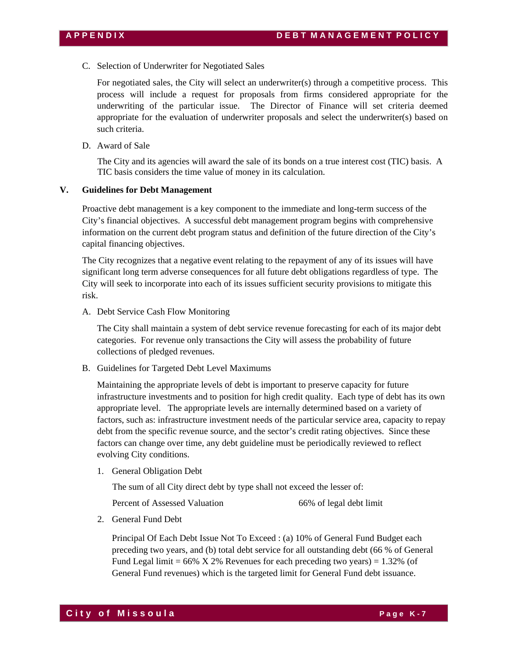C. Selection of Underwriter for Negotiated Sales

For negotiated sales, the City will select an underwriter(s) through a competitive process. This process will include a request for proposals from firms considered appropriate for the underwriting of the particular issue. The Director of Finance will set criteria deemed appropriate for the evaluation of underwriter proposals and select the underwriter(s) based on such criteria.

D. Award of Sale

The City and its agencies will award the sale of its bonds on a true interest cost (TIC) basis. A TIC basis considers the time value of money in its calculation.

## **V. Guidelines for Debt Management**

Proactive debt management is a key component to the immediate and long-term success of the City's financial objectives. A successful debt management program begins with comprehensive information on the current debt program status and definition of the future direction of the City's capital financing objectives.

The City recognizes that a negative event relating to the repayment of any of its issues will have significant long term adverse consequences for all future debt obligations regardless of type. The City will seek to incorporate into each of its issues sufficient security provisions to mitigate this risk.

A. Debt Service Cash Flow Monitoring

The City shall maintain a system of debt service revenue forecasting for each of its major debt categories. For revenue only transactions the City will assess the probability of future collections of pledged revenues.

B. Guidelines for Targeted Debt Level Maximums

Maintaining the appropriate levels of debt is important to preserve capacity for future infrastructure investments and to position for high credit quality. Each type of debt has its own appropriate level. The appropriate levels are internally determined based on a variety of factors, such as: infrastructure investment needs of the particular service area, capacity to repay debt from the specific revenue source, and the sector's credit rating objectives. Since these factors can change over time, any debt guideline must be periodically reviewed to reflect evolving City conditions.

1. General Obligation Debt

The sum of all City direct debt by type shall not exceed the lesser of:

Percent of Assessed Valuation 66% of legal debt limit

2. General Fund Debt

Principal Of Each Debt Issue Not To Exceed : (a) 10% of General Fund Budget each preceding two years, and (b) total debt service for all outstanding debt (66 % of General Fund Legal limit =  $66\%$  X 2% Revenues for each preceding two years) = 1.32% (of General Fund revenues) which is the targeted limit for General Fund debt issuance.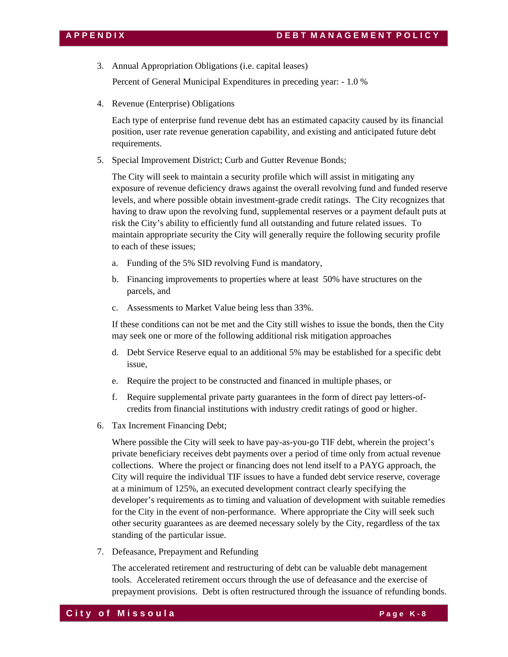- 3. Annual Appropriation Obligations (i.e. capital leases) Percent of General Municipal Expenditures in preceding year: - 1.0 %
- 4. Revenue (Enterprise) Obligations

Each type of enterprise fund revenue debt has an estimated capacity caused by its financial position, user rate revenue generation capability, and existing and anticipated future debt requirements.

5. Special Improvement District; Curb and Gutter Revenue Bonds;

The City will seek to maintain a security profile which will assist in mitigating any exposure of revenue deficiency draws against the overall revolving fund and funded reserve levels, and where possible obtain investment-grade credit ratings. The City recognizes that having to draw upon the revolving fund, supplemental reserves or a payment default puts at risk the City's ability to efficiently fund all outstanding and future related issues. To maintain appropriate security the City will generally require the following security profile to each of these issues;

- a. Funding of the 5% SID revolving Fund is mandatory,
- b. Financing improvements to properties where at least 50% have structures on the parcels, and
- c. Assessments to Market Value being less than 33%.

If these conditions can not be met and the City still wishes to issue the bonds, then the City may seek one or more of the following additional risk mitigation approaches

- d. Debt Service Reserve equal to an additional 5% may be established for a specific debt issue,
- e. Require the project to be constructed and financed in multiple phases, or
- f. Require supplemental private party guarantees in the form of direct pay letters-ofcredits from financial institutions with industry credit ratings of good or higher.
- 6. Tax Increment Financing Debt;

Where possible the City will seek to have pay-as-you-go TIF debt, wherein the project's private beneficiary receives debt payments over a period of time only from actual revenue collections. Where the project or financing does not lend itself to a PAYG approach, the City will require the individual TIF issues to have a funded debt service reserve, coverage at a minimum of 125%, an executed development contract clearly specifying the developer's requirements as to timing and valuation of development with suitable remedies for the City in the event of non-performance. Where appropriate the City will seek such other security guarantees as are deemed necessary solely by the City, regardless of the tax standing of the particular issue.

7. Defeasance, Prepayment and Refunding

The accelerated retirement and restructuring of debt can be valuable debt management tools. Accelerated retirement occurs through the use of defeasance and the exercise of prepayment provisions. Debt is often restructured through the issuance of refunding bonds.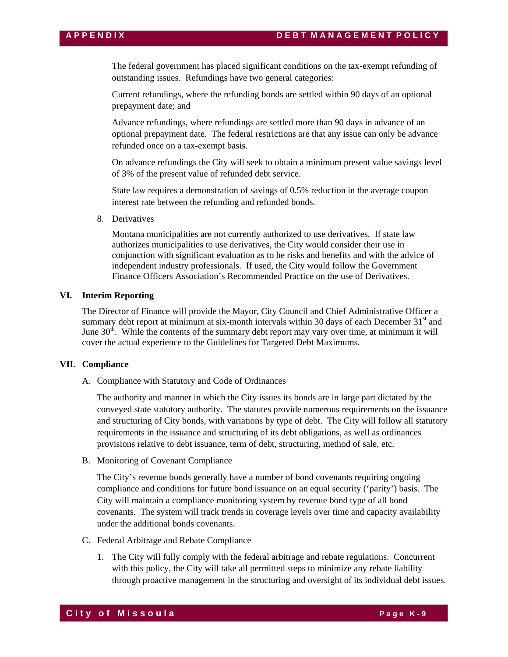The federal government has placed significant conditions on the tax-exempt refunding of outstanding issues. Refundings have two general categories:

Current refundings, where the refunding bonds are settled within 90 days of an optional prepayment date; and

Advance refundings, where refundings are settled more than 90 days in advance of an optional prepayment date. The federal restrictions are that any issue can only be advance refunded once on a tax-exempt basis.

On advance refundings the City will seek to obtain a minimum present value savings level of 3% of the present value of refunded debt service.

State law requires a demonstration of savings of 0.5% reduction in the average coupon interest rate between the refunding and refunded bonds.

8. Derivatives

Montana municipalities are not currently authorized to use derivatives. If state law authorizes municipalities to use derivatives, the City would consider their use in conjunction with significant evaluation as to he risks and benefits and with the advice of independent industry professionals. If used, the City would follow the Government Finance Officers Association's Recommended Practice on the use of Derivatives.

# **VI. Interim Reporting**

The Director of Finance will provide the Mayor, City Council and Chief Administrative Officer a summary debt report at minimum at six-month intervals within 30 days of each December  $31<sup>st</sup>$  and June  $30<sup>th</sup>$ . While the contents of the summary debt report may vary over time, at minimum it will cover the actual experience to the Guidelines for Targeted Debt Maximums.

## **VII. Compliance**

A. Compliance with Statutory and Code of Ordinances

The authority and manner in which the City issues its bonds are in large part dictated by the conveyed state statutory authority. The statutes provide numerous requirements on the issuance and structuring of City bonds, with variations by type of debt. The City will follow all statutory requirements in the issuance and structuring of its debt obligations, as well as ordinances provisions relative to debt issuance, term of debt, structuring, method of sale, etc.

B. Monitoring of Covenant Compliance

The City's revenue bonds generally have a number of bond covenants requiring ongoing compliance and conditions for future bond issuance on an equal security ('parity') basis. The City will maintain a compliance monitoring system by revenue bond type of all bond covenants. The system will track trends in coverage levels over time and capacity availability under the additional bonds covenants.

- C. Federal Arbitrage and Rebate Compliance
	- 1. The City will fully comply with the federal arbitrage and rebate regulations. Concurrent with this policy, the City will take all permitted steps to minimize any rebate liability through proactive management in the structuring and oversight of its individual debt issues.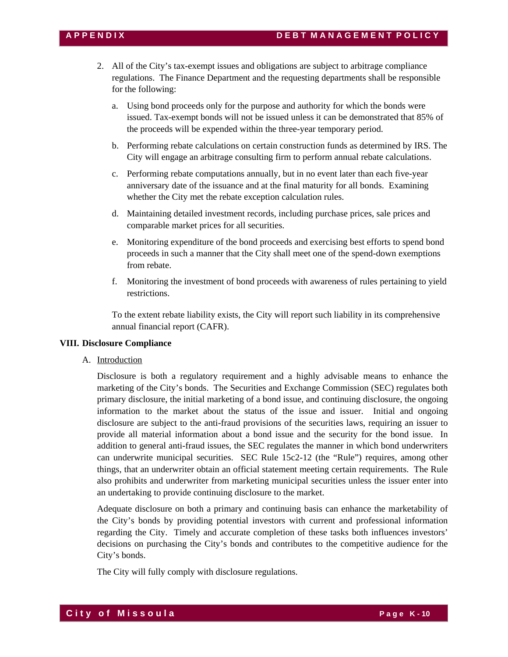- 2. All of the City's tax-exempt issues and obligations are subject to arbitrage compliance regulations. The Finance Department and the requesting departments shall be responsible for the following:
	- a. Using bond proceeds only for the purpose and authority for which the bonds were issued. Tax-exempt bonds will not be issued unless it can be demonstrated that 85% of the proceeds will be expended within the three-year temporary period.
	- b. Performing rebate calculations on certain construction funds as determined by IRS. The City will engage an arbitrage consulting firm to perform annual rebate calculations.
	- c. Performing rebate computations annually, but in no event later than each five-year anniversary date of the issuance and at the final maturity for all bonds. Examining whether the City met the rebate exception calculation rules.
	- d. Maintaining detailed investment records, including purchase prices, sale prices and comparable market prices for all securities.
	- e. Monitoring expenditure of the bond proceeds and exercising best efforts to spend bond proceeds in such a manner that the City shall meet one of the spend-down exemptions from rebate.
	- f. Monitoring the investment of bond proceeds with awareness of rules pertaining to yield restrictions.

To the extent rebate liability exists, the City will report such liability in its comprehensive annual financial report (CAFR).

# **VIII. Disclosure Compliance**

A. Introduction

Disclosure is both a regulatory requirement and a highly advisable means to enhance the marketing of the City's bonds. The Securities and Exchange Commission (SEC) regulates both primary disclosure, the initial marketing of a bond issue, and continuing disclosure, the ongoing information to the market about the status of the issue and issuer. Initial and ongoing disclosure are subject to the anti-fraud provisions of the securities laws, requiring an issuer to provide all material information about a bond issue and the security for the bond issue. In addition to general anti-fraud issues, the SEC regulates the manner in which bond underwriters can underwrite municipal securities. SEC Rule 15c2-12 (the "Rule") requires, among other things, that an underwriter obtain an official statement meeting certain requirements. The Rule also prohibits and underwriter from marketing municipal securities unless the issuer enter into an undertaking to provide continuing disclosure to the market.

Adequate disclosure on both a primary and continuing basis can enhance the marketability of the City's bonds by providing potential investors with current and professional information regarding the City. Timely and accurate completion of these tasks both influences investors' decisions on purchasing the City's bonds and contributes to the competitive audience for the City's bonds.

The City will fully comply with disclosure regulations.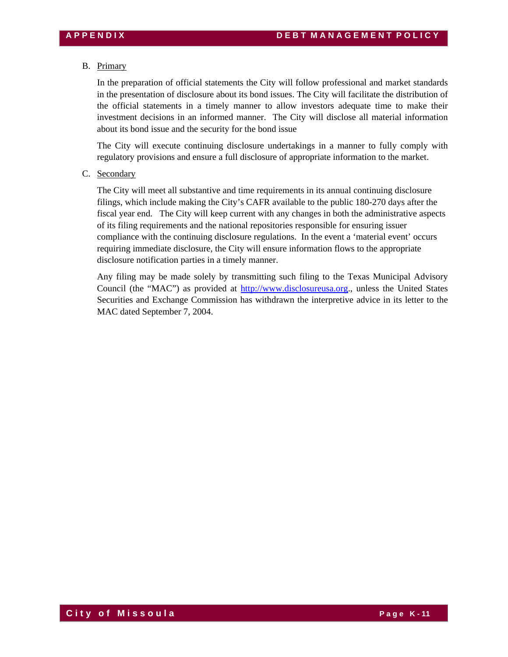# B. Primary

In the preparation of official statements the City will follow professional and market standards in the presentation of disclosure about its bond issues. The City will facilitate the distribution of the official statements in a timely manner to allow investors adequate time to make their investment decisions in an informed manner. The City will disclose all material information about its bond issue and the security for the bond issue

The City will execute continuing disclosure undertakings in a manner to fully comply with regulatory provisions and ensure a full disclosure of appropriate information to the market.

C. Secondary

The City will meet all substantive and time requirements in its annual continuing disclosure filings, which include making the City's CAFR available to the public 180-270 days after the fiscal year end. The City will keep current with any changes in both the administrative aspects of its filing requirements and the national repositories responsible for ensuring issuer compliance with the continuing disclosure regulations. In the event a 'material event' occurs requiring immediate disclosure, the City will ensure information flows to the appropriate disclosure notification parties in a timely manner.

Any filing may be made solely by transmitting such filing to the Texas Municipal Advisory Council (the "MAC") as provided at http://www.disclosureusa.org., unless the United States Securities and Exchange Commission has withdrawn the interpretive advice in its letter to the MAC dated September 7, 2004.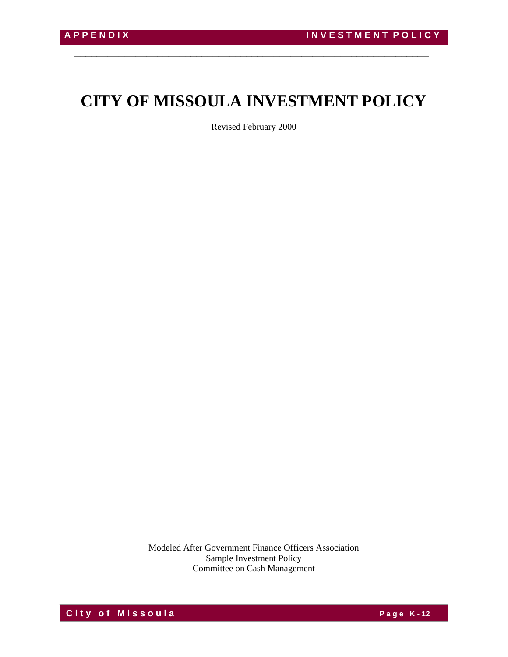# **CITY OF MISSOULA INVESTMENT POLICY**

\_\_\_\_\_\_\_\_\_\_\_\_\_\_\_\_\_\_\_\_\_\_\_\_\_\_\_\_\_\_\_\_\_\_\_\_\_\_\_\_\_\_\_\_\_\_\_\_\_\_\_\_\_\_\_\_\_\_\_\_\_\_\_\_

Revised February 2000

Modeled After Government Finance Officers Association Sample Investment Policy Committee on Cash Management

**City of Missoula City of Missoula**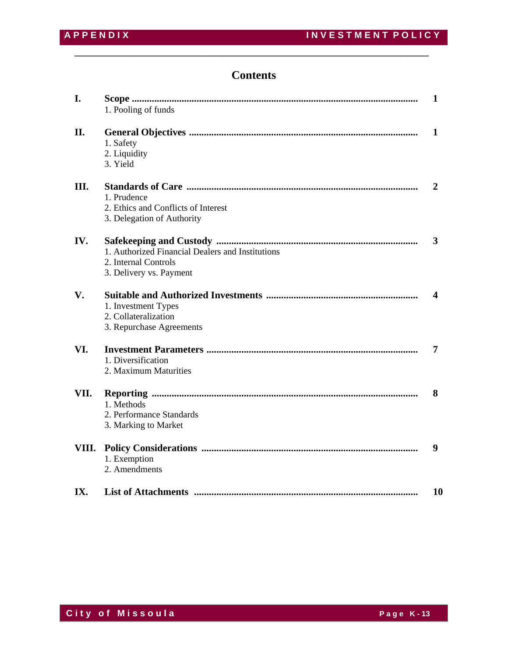# **Contents**

\_\_\_\_\_\_\_\_\_\_\_\_\_\_\_\_\_\_\_\_\_\_\_\_\_\_\_\_\_\_\_\_\_\_\_\_\_\_\_\_\_\_\_\_\_\_\_\_\_\_\_\_\_\_\_\_\_\_\_\_\_\_\_\_

| I.    | 1. Pooling of funds                                                                                 | $\mathbf{1}$     |
|-------|-----------------------------------------------------------------------------------------------------|------------------|
| II.   | 1. Safety<br>2. Liquidity<br>3. Yield                                                               | 1                |
| Ш.    | 1. Prudence<br>2. Ethics and Conflicts of Interest<br>3. Delegation of Authority                    | 2                |
| IV.   | 1. Authorized Financial Dealers and Institutions<br>2. Internal Controls<br>3. Delivery vs. Payment | 3                |
| V.    | 1. Investment Types<br>2. Collateralization<br>3. Repurchase Agreements                             | $\boldsymbol{4}$ |
| VI.   | 1. Diversification<br>2. Maximum Maturities                                                         | 7                |
| VII.  | 1. Methods<br>2. Performance Standards<br>3. Marking to Market                                      | 8                |
| VIII. | 1. Exemption<br>2. Amendments                                                                       | 9                |
| IX.   |                                                                                                     | 10               |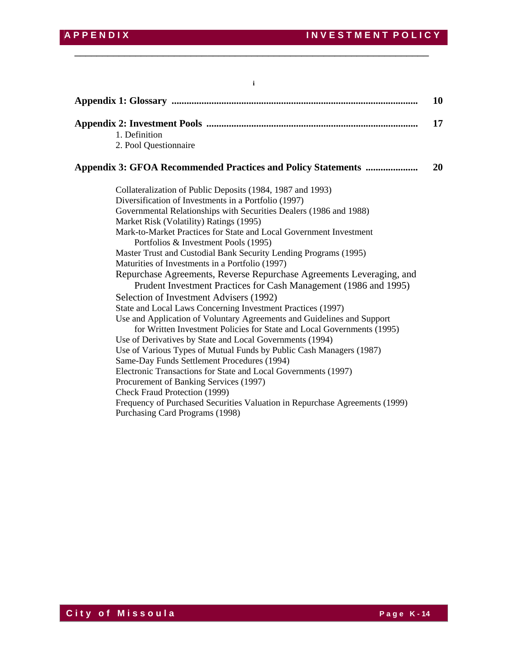**Appendix 1: Glossary ................................................................................................... 10 Appendix 2: Investment Pools ..................................................................................... 17** 1. Definition 2. Pool Questionnaire **Appendix 3: GFOA Recommended Practices and Policy Statements ..................... 20** Collateralization of Public Deposits (1984, 1987 and 1993) Diversification of Investments in a Portfolio (1997) Governmental Relationships with Securities Dealers (1986 and 1988) Market Risk (Volatility) Ratings (1995) Mark-to-Market Practices for State and Local Government Investment Portfolios & Investment Pools (1995) Master Trust and Custodial Bank Security Lending Programs (1995) Maturities of Investments in a Portfolio (1997) Repurchase Agreements, Reverse Repurchase Agreements Leveraging, and Prudent Investment Practices for Cash Management (1986 and 1995) Selection of Investment Advisers (1992) State and Local Laws Concerning Investment Practices (1997) Use and Application of Voluntary Agreements and Guidelines and Support for Written Investment Policies for State and Local Governments (1995) Use of Derivatives by State and Local Governments (1994) Use of Various Types of Mutual Funds by Public Cash Managers (1987) Same-Day Funds Settlement Procedures (1994) Electronic Transactions for State and Local Governments (1997) Procurement of Banking Services (1997) Check Fraud Protection (1999) Frequency of Purchased Securities Valuation in Repurchase Agreements (1999) Purchasing Card Programs (1998)

\_\_\_\_\_\_\_\_\_\_\_\_\_\_\_\_\_\_\_\_\_\_\_\_\_\_\_\_\_\_\_\_\_\_\_\_\_\_\_\_\_\_\_\_\_\_\_\_\_\_\_\_\_\_\_\_\_\_\_\_\_\_\_\_

**i**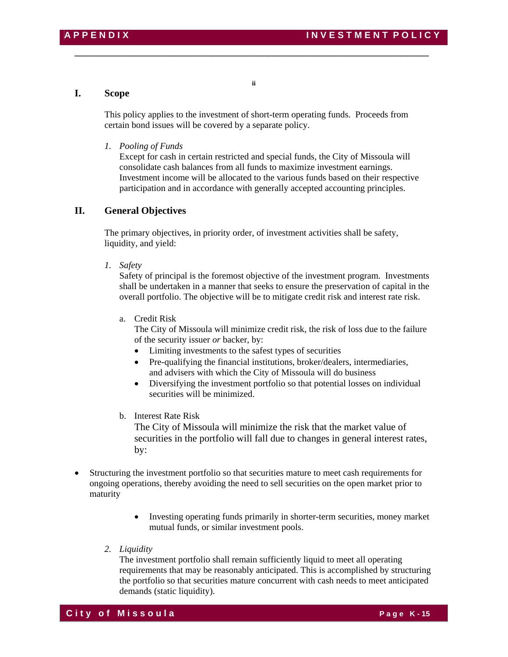# **I. Scope**

This policy applies to the investment of short-term operating funds. Proceeds from certain bond issues will be covered by a separate policy.

\_\_\_\_\_\_\_\_\_\_\_\_\_\_\_\_\_\_\_\_\_\_\_\_\_\_\_\_\_\_\_\_\_\_\_\_\_\_\_\_\_\_\_\_\_\_\_\_\_\_\_\_\_\_\_\_\_\_\_\_\_\_\_\_

**ii** 

# *1. Pooling of Funds*

Except for cash in certain restricted and special funds, the City of Missoula will consolidate cash balances from all funds to maximize investment earnings. Investment income will be allocated to the various funds based on their respective participation and in accordance with generally accepted accounting principles.

# **II. General Objectives**

 The primary objectives, in priority order, of investment activities shall be safety, liquidity, and yield:

 *1. Safety* 

Safety of principal is the foremost objective of the investment program. Investments shall be undertaken in a manner that seeks to ensure the preservation of capital in the overall portfolio. The objective will be to mitigate credit risk and interest rate risk.

a. Credit Risk

 The City of Missoula will minimize credit risk, the risk of loss due to the failure of the security issuer *or* backer, by:

- Limiting investments to the safest types of securities
- Pre-qualifying the financial institutions, broker/dealers, intermediaries, and advisers with which the City of Missoula will do business
- Diversifying the investment portfolio so that potential losses on individual securities will be minimized.
- b. Interest Rate Risk

 The City of Missoula will minimize the risk that the market value of securities in the portfolio will fall due to changes in general interest rates, by:

- Structuring the investment portfolio so that securities mature to meet cash requirements for ongoing operations, thereby avoiding the need to sell securities on the open market prior to maturity
	- Investing operating funds primarily in shorter-term securities, money market mutual funds, or similar investment pools.
	- *2. Liquidity*

The investment portfolio shall remain sufficiently liquid to meet all operating requirements that may be reasonably anticipated. This is accomplished by structuring the portfolio so that securities mature concurrent with cash needs to meet anticipated demands (static liquidity).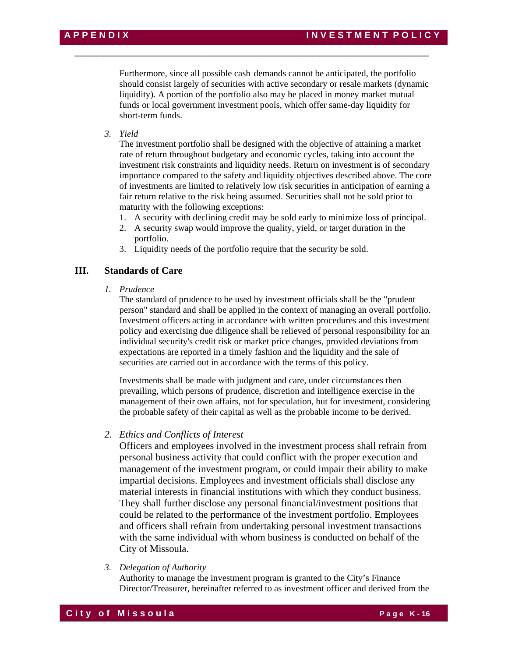Furthermore, since all possible cash demands cannot be anticipated, the portfolio should consist largely of securities with active secondary or resale markets (dynamic liquidity). A portion of the portfolio also may be placed in money market mutual funds or local government investment pools, which offer same-day liquidity for short-term funds.

\_\_\_\_\_\_\_\_\_\_\_\_\_\_\_\_\_\_\_\_\_\_\_\_\_\_\_\_\_\_\_\_\_\_\_\_\_\_\_\_\_\_\_\_\_\_\_\_\_\_\_\_\_\_\_\_\_\_\_\_\_\_\_\_

*3. Yield* 

The investment portfolio shall be designed with the objective of attaining a market rate of return throughout budgetary and economic cycles, taking into account the investment risk constraints and liquidity needs. Return on investment is of secondary importance compared to the safety and liquidity objectives described above. The core of investments are limited to relatively low risk securities in anticipation of earning a fair return relative to the risk being assumed. Securities shall not be sold prior to maturity with the following exceptions:

- 1. A security with declining credit may be sold early to minimize loss of principal.
- 2. A security swap would improve the quality, yield, or target duration in the portfolio.
- 3. Liquidity needs of the portfolio require that the security be sold.

# **III. Standards of Care**

 *1. Prudence* 

The standard of prudence to be used by investment officials shall be the "prudent person" standard and shall be applied in the context of managing an overall portfolio. Investment officers acting in accordance with written procedures and this investment policy and exercising due diligence shall be relieved of personal responsibility for an individual security's credit risk or market price changes, provided deviations from expectations are reported in a timely fashion and the liquidity and the sale of securities are carried out in accordance with the terms of this policy.

Investments shall be made with judgment and care, under circumstances then prevailing, which persons of prudence, discretion and intelligence exercise in the management of their own affairs, not for speculation, but for investment, considering the probable safety of their capital as well as the probable income to be derived.

# *2. Ethics and Conflicts of Interest*

Officers and employees involved in the investment process shall refrain from personal business activity that could conflict with the proper execution and management of the investment program, or could impair their ability to make impartial decisions. Employees and investment officials shall disclose any material interests in financial institutions with which they conduct business. They shall further disclose any personal financial/investment positions that could be related to the performance of the investment portfolio. Employees and officers shall refrain from undertaking personal investment transactions with the same individual with whom business is conducted on behalf of the City of Missoula.

*3. Delegation of Authority* 

Authority to manage the investment program is granted to the City's Finance Director/Treasurer, hereinafter referred to as investment officer and derived from the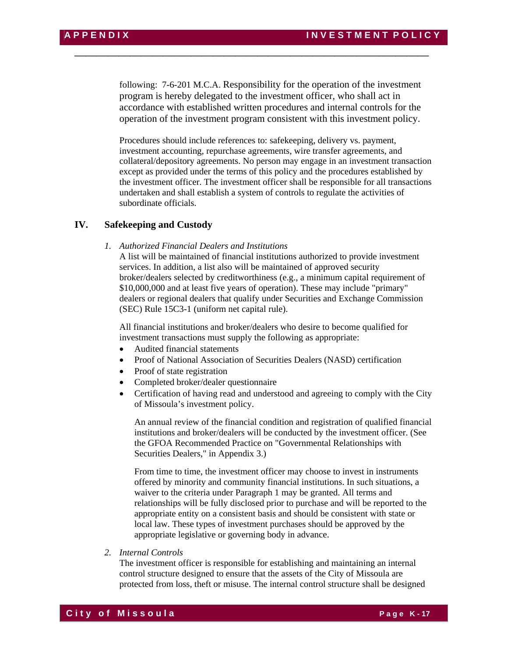following: 7-6-201 M.C.A. Responsibility for the operation of the investment program is hereby delegated to the investment officer, who shall act in accordance with established written procedures and internal controls for the operation of the investment program consistent with this investment policy.

\_\_\_\_\_\_\_\_\_\_\_\_\_\_\_\_\_\_\_\_\_\_\_\_\_\_\_\_\_\_\_\_\_\_\_\_\_\_\_\_\_\_\_\_\_\_\_\_\_\_\_\_\_\_\_\_\_\_\_\_\_\_\_\_

Procedures should include references to: safekeeping, delivery vs. payment, investment accounting, repurchase agreements, wire transfer agreements, and collateral/depository agreements. No person may engage in an investment transaction except as provided under the terms of this policy and the procedures established by the investment officer. The investment officer shall be responsible for all transactions undertaken and shall establish a system of controls to regulate the activities of subordinate officials.

# **IV. Safekeeping and Custody**

*1. Authorized Financial Dealers and Institutions* 

A list will be maintained of financial institutions authorized to provide investment services. In addition, a list also will be maintained of approved security broker/dealers selected by creditworthiness (e.g., a minimum capital requirement of \$10,000,000 and at least five years of operation). These may include "primary" dealers or regional dealers that qualify under Securities and Exchange Commission (SEC) Rule 15C3-1 (uniform net capital rule).

All financial institutions and broker/dealers who desire to become qualified for investment transactions must supply the following as appropriate:

- Audited financial statements
- Proof of National Association of Securities Dealers (NASD) certification
- Proof of state registration
- Completed broker/dealer questionnaire
- Certification of having read and understood and agreeing to comply with the City of Missoula's investment policy.

An annual review of the financial condition and registration of qualified financial institutions and broker/dealers will be conducted by the investment officer. (See the GFOA Recommended Practice on "Governmental Relationships with Securities Dealers," in Appendix 3.)

From time to time, the investment officer may choose to invest in instruments offered by minority and community financial institutions. In such situations, a waiver to the criteria under Paragraph 1 may be granted. All terms and relationships will be fully disclosed prior to purchase and will be reported to the appropriate entity on a consistent basis and should be consistent with state or local law. These types of investment purchases should be approved by the appropriate legislative or governing body in advance.

 *2. Internal Controls* 

The investment officer is responsible for establishing and maintaining an internal control structure designed to ensure that the assets of the City of Missoula are protected from loss, theft or misuse. The internal control structure shall be designed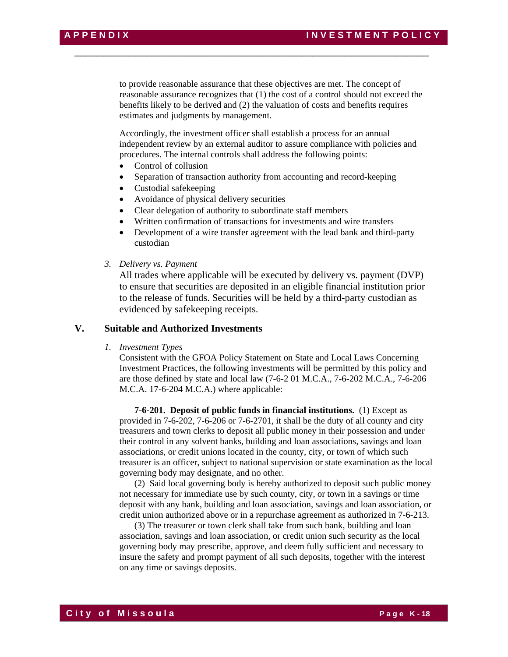to provide reasonable assurance that these objectives are met. The concept of reasonable assurance recognizes that (1) the cost of a control should not exceed the benefits likely to be derived and (2) the valuation of costs and benefits requires estimates and judgments by management.

\_\_\_\_\_\_\_\_\_\_\_\_\_\_\_\_\_\_\_\_\_\_\_\_\_\_\_\_\_\_\_\_\_\_\_\_\_\_\_\_\_\_\_\_\_\_\_\_\_\_\_\_\_\_\_\_\_\_\_\_\_\_\_\_

Accordingly, the investment officer shall establish a process for an annual independent review by an external auditor to assure compliance with policies and procedures. The internal controls shall address the following points:

- Control of collusion
- Separation of transaction authority from accounting and record-keeping
- Custodial safekeeping
- Avoidance of physical delivery securities
- Clear delegation of authority to subordinate staff members
- Written confirmation of transactions for investments and wire transfers
- Development of a wire transfer agreement with the lead bank and third-party custodian
- *3. Delivery vs. Payment*

All trades where applicable will be executed by delivery vs. payment (DVP) to ensure that securities are deposited in an eligible financial institution prior to the release of funds. Securities will be held by a third-party custodian as evidenced by safekeeping receipts.

# **V. Suitable and Authorized Investments**

 *1. Investment Types* 

Consistent with the GFOA Policy Statement on State and Local Laws Concerning Investment Practices, the following investments will be permitted by this policy and are those defined by state and local law (7-6-2 01 M.C.A., 7-6-202 M.C.A., 7-6-206 M.C.A. 17-6-204 M.C.A.) where applicable:

 **7-6-201. Deposit of public funds in financial institutions.** (1) Except as provided in 7-6-202, 7-6-206 or 7-6-2701, it shall be the duty of all county and city treasurers and town clerks to deposit all public money in their possession and under their control in any solvent banks, building and loan associations, savings and loan associations, or credit unions located in the county, city, or town of which such treasurer is an officer, subject to national supervision or state examination as the local governing body may designate, and no other.

 (2) Said local governing body is hereby authorized to deposit such public money not necessary for immediate use by such county, city, or town in a savings or time deposit with any bank, building and loan association, savings and loan association, or credit union authorized above or in a repurchase agreement as authorized in 7-6-213.

 (3) The treasurer or town clerk shall take from such bank, building and loan association, savings and loan association, or credit union such security as the local governing body may prescribe, approve, and deem fully sufficient and necessary to insure the safety and prompt payment of all such deposits, together with the interest on any time or savings deposits.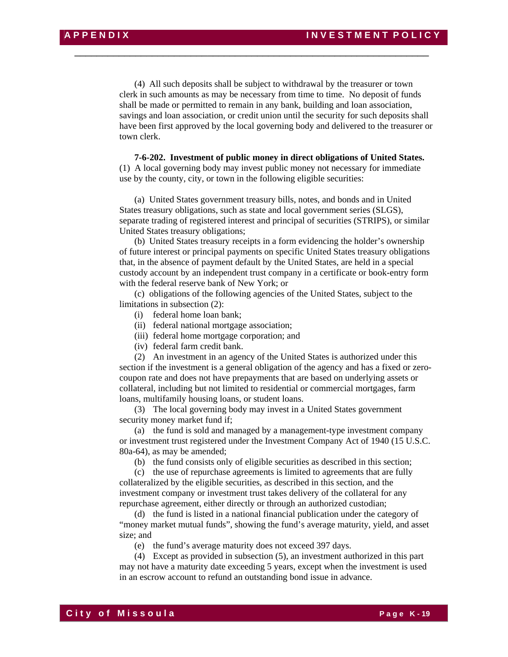(4) All such deposits shall be subject to withdrawal by the treasurer or town clerk in such amounts as may be necessary from time to time. No deposit of funds shall be made or permitted to remain in any bank, building and loan association, savings and loan association, or credit union until the security for such deposits shall have been first approved by the local governing body and delivered to the treasurer or town clerk.

\_\_\_\_\_\_\_\_\_\_\_\_\_\_\_\_\_\_\_\_\_\_\_\_\_\_\_\_\_\_\_\_\_\_\_\_\_\_\_\_\_\_\_\_\_\_\_\_\_\_\_\_\_\_\_\_\_\_\_\_\_\_\_\_

**7-6-202. Investment of public money in direct obligations of United States.**  (1) A local governing body may invest public money not necessary for immediate use by the county, city, or town in the following eligible securities:

 (a) United States government treasury bills, notes, and bonds and in United States treasury obligations, such as state and local government series (SLGS), separate trading of registered interest and principal of securities (STRIPS), or similar United States treasury obligations;

 (b) United States treasury receipts in a form evidencing the holder's ownership of future interest or principal payments on specific United States treasury obligations that, in the absence of payment default by the United States, are held in a special custody account by an independent trust company in a certificate or book-entry form with the federal reserve bank of New York; or

 (c) obligations of the following agencies of the United States, subject to the limitations in subsection (2):

- (i) federal home loan bank;
- (ii) federal national mortgage association;
- (iii) federal home mortgage corporation; and
- (iv) federal farm credit bank.

 (2) An investment in an agency of the United States is authorized under this section if the investment is a general obligation of the agency and has a fixed or zerocoupon rate and does not have prepayments that are based on underlying assets or collateral, including but not limited to residential or commercial mortgages, farm loans, multifamily housing loans, or student loans.

 (3) The local governing body may invest in a United States government security money market fund if;

 (a) the fund is sold and managed by a management-type investment company or investment trust registered under the Investment Company Act of 1940 (15 U.S.C. 80a-64), as may be amended;

(b) the fund consists only of eligible securities as described in this section;

 (c) the use of repurchase agreements is limited to agreements that are fully collateralized by the eligible securities, as described in this section, and the investment company or investment trust takes delivery of the collateral for any repurchase agreement, either directly or through an authorized custodian;

 (d) the fund is listed in a national financial publication under the category of "money market mutual funds", showing the fund's average maturity, yield, and asset size; and

(e) the fund's average maturity does not exceed 397 days.

 (4) Except as provided in subsection (5), an investment authorized in this part may not have a maturity date exceeding 5 years, except when the investment is used in an escrow account to refund an outstanding bond issue in advance.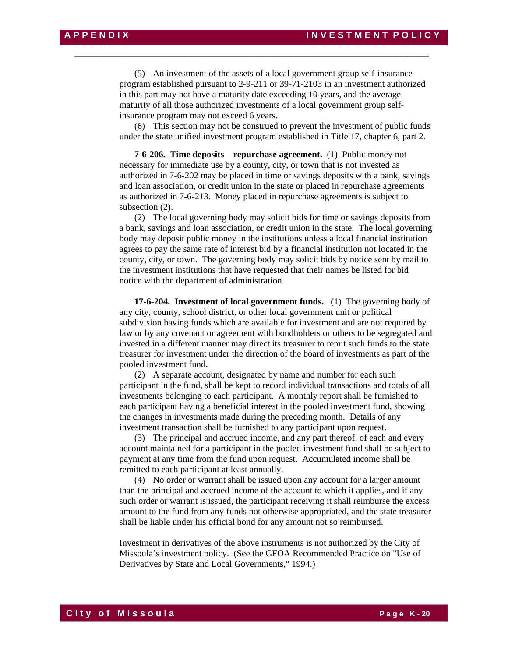(5) An investment of the assets of a local government group self-insurance program established pursuant to 2-9-211 or 39-71-2103 in an investment authorized in this part may not have a maturity date exceeding 10 years, and the average maturity of all those authorized investments of a local government group selfinsurance program may not exceed 6 years.

\_\_\_\_\_\_\_\_\_\_\_\_\_\_\_\_\_\_\_\_\_\_\_\_\_\_\_\_\_\_\_\_\_\_\_\_\_\_\_\_\_\_\_\_\_\_\_\_\_\_\_\_\_\_\_\_\_\_\_\_\_\_\_\_

 (6) This section may not be construed to prevent the investment of public funds under the state unified investment program established in Title 17, chapter 6, part 2.

**7-6-206. Time deposits—repurchase agreement.** (1) Public money not necessary for immediate use by a county, city, or town that is not invested as authorized in 7-6-202 may be placed in time or savings deposits with a bank, savings and loan association, or credit union in the state or placed in repurchase agreements as authorized in 7-6-213. Money placed in repurchase agreements is subject to subsection (2).

 (2) The local governing body may solicit bids for time or savings deposits from a bank, savings and loan association, or credit union in the state. The local governing body may deposit public money in the institutions unless a local financial institution agrees to pay the same rate of interest bid by a financial institution not located in the county, city, or town. The governing body may solicit bids by notice sent by mail to the investment institutions that have requested that their names be listed for bid notice with the department of administration.

 **17-6-204. Investment of local government funds.** (1) The governing body of any city, county, school district, or other local government unit or political subdivision having funds which are available for investment and are not required by law or by any covenant or agreement with bondholders or others to be segregated and invested in a different manner may direct its treasurer to remit such funds to the state treasurer for investment under the direction of the board of investments as part of the pooled investment fund.

 (2) A separate account, designated by name and number for each such participant in the fund, shall be kept to record individual transactions and totals of all investments belonging to each participant. A monthly report shall be furnished to each participant having a beneficial interest in the pooled investment fund, showing the changes in investments made during the preceding month. Details of any investment transaction shall be furnished to any participant upon request.

 (3) The principal and accrued income, and any part thereof, of each and every account maintained for a participant in the pooled investment fund shall be subject to payment at any time from the fund upon request. Accumulated income shall be remitted to each participant at least annually.

 (4) No order or warrant shall be issued upon any account for a larger amount than the principal and accrued income of the account to which it applies, and if any such order or warrant is issued, the participant receiving it shall reimburse the excess amount to the fund from any funds not otherwise appropriated, and the state treasurer shall be liable under his official bond for any amount not so reimbursed.

Investment in derivatives of the above instruments is not authorized by the City of Missoula's investment policy. (See the GFOA Recommended Practice on "Use of Derivatives by State and Local Governments," 1994.)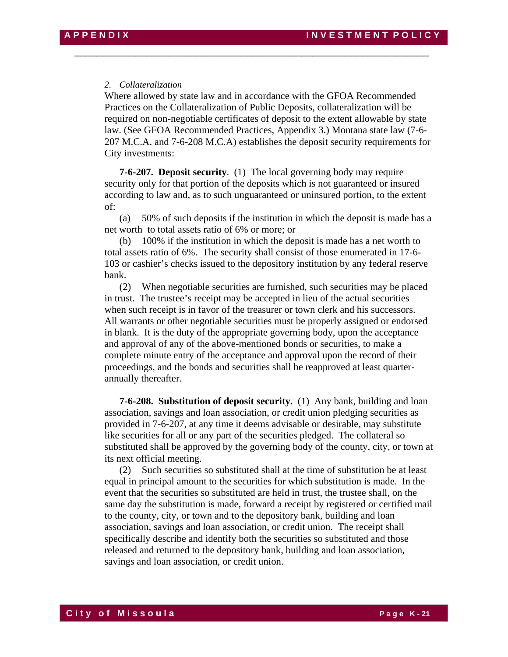# *2. Collateralization*

Where allowed by state law and in accordance with the GFOA Recommended Practices on the Collateralization of Public Deposits, collateralization will be required on non-negotiable certificates of deposit to the extent allowable by state law. (See GFOA Recommended Practices, Appendix 3.) Montana state law (7-6- 207 M.C.A. and 7-6-208 M.C.A) establishes the deposit security requirements for City investments:

\_\_\_\_\_\_\_\_\_\_\_\_\_\_\_\_\_\_\_\_\_\_\_\_\_\_\_\_\_\_\_\_\_\_\_\_\_\_\_\_\_\_\_\_\_\_\_\_\_\_\_\_\_\_\_\_\_\_\_\_\_\_\_\_

**7-6-207. Deposit security**. (1) The local governing body may require security only for that portion of the deposits which is not guaranteed or insured according to law and, as to such unguaranteed or uninsured portion, to the extent of:

 (a) 50% of such deposits if the institution in which the deposit is made has a net worth to total assets ratio of 6% or more; or

 (b) 100% if the institution in which the deposit is made has a net worth to total assets ratio of 6%. The security shall consist of those enumerated in 17-6- 103 or cashier's checks issued to the depository institution by any federal reserve bank.

 (2) When negotiable securities are furnished, such securities may be placed in trust. The trustee's receipt may be accepted in lieu of the actual securities when such receipt is in favor of the treasurer or town clerk and his successors. All warrants or other negotiable securities must be properly assigned or endorsed in blank. It is the duty of the appropriate governing body, upon the acceptance and approval of any of the above-mentioned bonds or securities, to make a complete minute entry of the acceptance and approval upon the record of their proceedings, and the bonds and securities shall be reapproved at least quarterannually thereafter.

**7-6-208. Substitution of deposit security.** (1) Any bank, building and loan association, savings and loan association, or credit union pledging securities as provided in 7-6-207, at any time it deems advisable or desirable, may substitute like securities for all or any part of the securities pledged. The collateral so substituted shall be approved by the governing body of the county, city, or town at its next official meeting.

 (2) Such securities so substituted shall at the time of substitution be at least equal in principal amount to the securities for which substitution is made. In the event that the securities so substituted are held in trust, the trustee shall, on the same day the substitution is made, forward a receipt by registered or certified mail to the county, city, or town and to the depository bank, building and loan association, savings and loan association, or credit union. The receipt shall specifically describe and identify both the securities so substituted and those released and returned to the depository bank, building and loan association, savings and loan association, or credit union.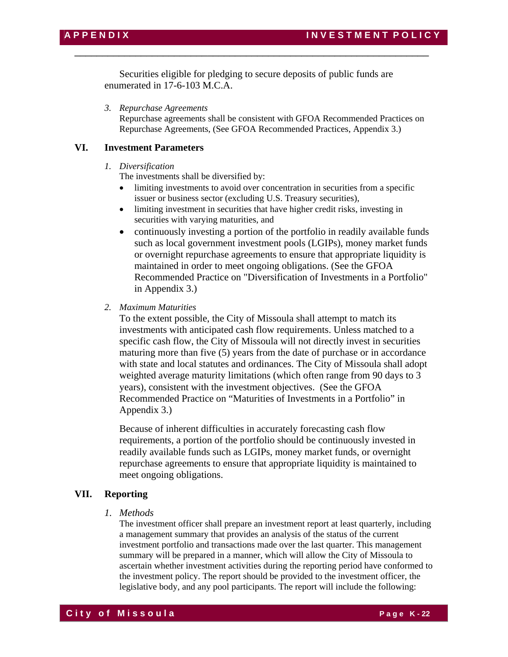Securities eligible for pledging to secure deposits of public funds are enumerated in 17-6-103 M.C.A.

\_\_\_\_\_\_\_\_\_\_\_\_\_\_\_\_\_\_\_\_\_\_\_\_\_\_\_\_\_\_\_\_\_\_\_\_\_\_\_\_\_\_\_\_\_\_\_\_\_\_\_\_\_\_\_\_\_\_\_\_\_\_\_\_

*3. Repurchase Agreements* 

Repurchase agreements shall be consistent with GFOA Recommended Practices on Repurchase Agreements, (See GFOA Recommended Practices, Appendix 3.)

# **VI. Investment Parameters**

# *1. Diversification*

The investments shall be diversified by:

- limiting investments to avoid over concentration in securities from a specific issuer or business sector (excluding U.S. Treasury securities),
- limiting investment in securities that have higher credit risks, investing in securities with varying maturities, and
- continuously investing a portion of the portfolio in readily available funds such as local government investment pools (LGIPs), money market funds or overnight repurchase agreements to ensure that appropriate liquidity is maintained in order to meet ongoing obligations. (See the GFOA Recommended Practice on "Diversification of Investments in a Portfolio" in Appendix 3.)
- *2. Maximum Maturities*

To the extent possible, the City of Missoula shall attempt to match its investments with anticipated cash flow requirements. Unless matched to a specific cash flow, the City of Missoula will not directly invest in securities maturing more than five (5) years from the date of purchase or in accordance with state and local statutes and ordinances. The City of Missoula shall adopt weighted average maturity limitations (which often range from 90 days to 3 years), consistent with the investment objectives. (See the GFOA Recommended Practice on "Maturities of Investments in a Portfolio" in Appendix 3.)

Because of inherent difficulties in accurately forecasting cash flow requirements, a portion of the portfolio should be continuously invested in readily available funds such as LGIPs, money market funds, or overnight repurchase agreements to ensure that appropriate liquidity is maintained to meet ongoing obligations.

# **VII. Reporting**

 *1. Methods* 

The investment officer shall prepare an investment report at least quarterly, including a management summary that provides an analysis of the status of the current investment portfolio and transactions made over the last quarter. This management summary will be prepared in a manner, which will allow the City of Missoula to ascertain whether investment activities during the reporting period have conformed to the investment policy. The report should be provided to the investment officer, the legislative body, and any pool participants. The report will include the following: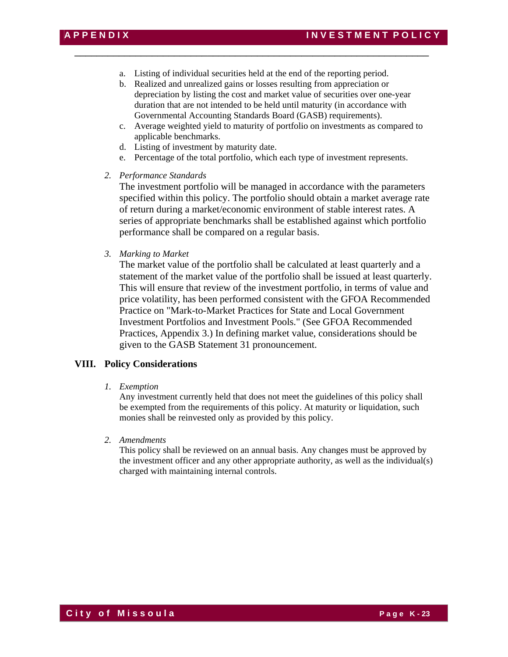a. Listing of individual securities held at the end of the reporting period.

\_\_\_\_\_\_\_\_\_\_\_\_\_\_\_\_\_\_\_\_\_\_\_\_\_\_\_\_\_\_\_\_\_\_\_\_\_\_\_\_\_\_\_\_\_\_\_\_\_\_\_\_\_\_\_\_\_\_\_\_\_\_\_\_

- b. Realized and unrealized gains or losses resulting from appreciation or depreciation by listing the cost and market value of securities over one-year duration that are not intended to be held until maturity (in accordance with Governmental Accounting Standards Board (GASB) requirements).
- c. Average weighted yield to maturity of portfolio on investments as compared to applicable benchmarks.
- d. Listing of investment by maturity date.
- e. Percentage of the total portfolio, which each type of investment represents.
- *2. Performance Standards*

The investment portfolio will be managed in accordance with the parameters specified within this policy. The portfolio should obtain a market average rate of return during a market/economic environment of stable interest rates. A series of appropriate benchmarks shall be established against which portfolio performance shall be compared on a regular basis.

*3. Marking to Market* 

 The market value of the portfolio shall be calculated at least quarterly and a statement of the market value of the portfolio shall be issued at least quarterly. This will ensure that review of the investment portfolio, in terms of value and price volatility, has been performed consistent with the GFOA Recommended Practice on "Mark-to-Market Practices for State and Local Government Investment Portfolios and Investment Pools." (See GFOA Recommended Practices, Appendix 3.) In defining market value, considerations should be given to the GASB Statement 31 pronouncement.

# **VIII. Policy Considerations**

*1. Exemption* 

 Any investment currently held that does not meet the guidelines of this policy shall be exempted from the requirements of this policy. At maturity or liquidation, such monies shall be reinvested only as provided by this policy.

*2. Amendments*

This policy shall be reviewed on an annual basis. Any changes must be approved by the investment officer and any other appropriate authority, as well as the individual(s) charged with maintaining internal controls.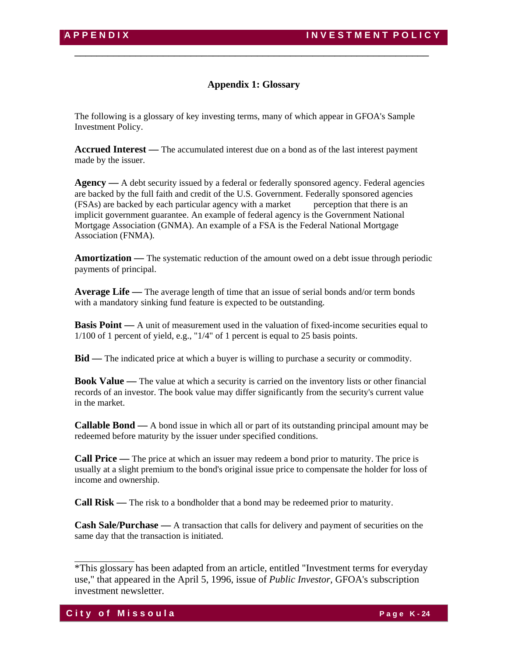# **Appendix 1: Glossary**

\_\_\_\_\_\_\_\_\_\_\_\_\_\_\_\_\_\_\_\_\_\_\_\_\_\_\_\_\_\_\_\_\_\_\_\_\_\_\_\_\_\_\_\_\_\_\_\_\_\_\_\_\_\_\_\_\_\_\_\_\_\_\_\_

The following is a glossary of key investing terms, many of which appear in GFOA's Sample Investment Policy.

**Accrued Interest —** The accumulated interest due on a bond as of the last interest payment made by the issuer.

**Agency** — A debt security issued by a federal or federally sponsored agency. Federal agencies are backed by the full faith and credit of the U.S. Government. Federally sponsored agencies (FSAs) are backed by each particular agency with a market perception that there is an implicit government guarantee. An example of federal agency is the Government National Mortgage Association (GNMA). An example of a FSA is the Federal National Mortgage Association (FNMA).

**Amortization —** The systematic reduction of the amount owed on a debt issue through periodic payments of principal.

**Average Life —** The average length of time that an issue of serial bonds and/or term bonds with a mandatory sinking fund feature is expected to be outstanding.

**Basis Point** — A unit of measurement used in the valuation of fixed-income securities equal to 1/100 of 1 percent of yield, e.g., "1/4" of 1 percent is equal to 25 basis points.

**Bid —** The indicated price at which a buyer is willing to purchase a security or commodity.

**Book Value —** The value at which a security is carried on the inventory lists or other financial records of an investor. The book value may differ significantly from the security's current value in the market.

**Callable Bond —** A bond issue in which all or part of its outstanding principal amount may be redeemed before maturity by the issuer under specified conditions.

**Call Price —** The price at which an issuer may redeem a bond prior to maturity. The price is usually at a slight premium to the bond's original issue price to compensate the holder for loss of income and ownership.

**Call Risk —** The risk to a bondholder that a bond may be redeemed prior to maturity.

**Cash Sale/Purchase —** A transaction that calls for delivery and payment of securities on the same day that the transaction is initiated.

<sup>\*</sup>This glossary has been adapted from an article, entitled "Investment terms for everyday use," that appeared in the April 5, 1996, issue of *Public Investor,* GFOA's subscription investment newsletter.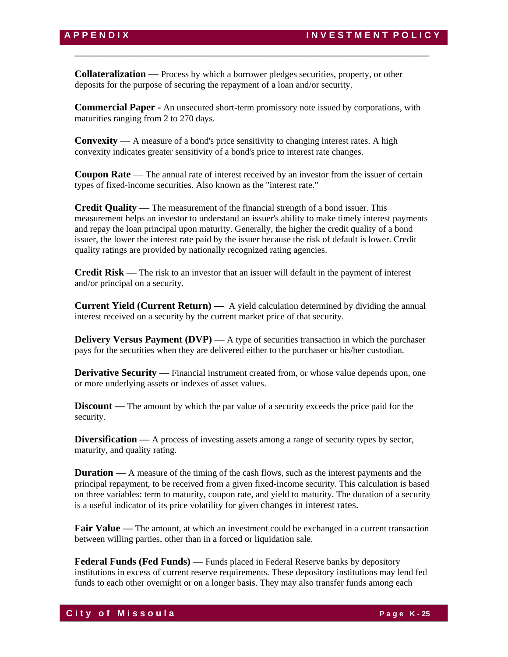**Collateralization —** Process by which a borrower pledges securities, property, or other deposits for the purpose of securing the repayment of a loan and/or security.

**Commercial Paper -** An unsecured short-term promissory note issued by corporations, with maturities ranging from 2 to 270 days.

\_\_\_\_\_\_\_\_\_\_\_\_\_\_\_\_\_\_\_\_\_\_\_\_\_\_\_\_\_\_\_\_\_\_\_\_\_\_\_\_\_\_\_\_\_\_\_\_\_\_\_\_\_\_\_\_\_\_\_\_\_\_\_\_

**Convexity** — A measure of a bond's price sensitivity to changing interest rates. A high convexity indicates greater sensitivity of a bond's price to interest rate changes.

**Coupon Rate** — The annual rate of interest received by an investor from the issuer of certain types of fixed-income securities. Also known as the "interest rate."

**Credit Quality —** The measurement of the financial strength of a bond issuer. This measurement helps an investor to understand an issuer's ability to make timely interest payments and repay the loan principal upon maturity. Generally, the higher the credit quality of a bond issuer, the lower the interest rate paid by the issuer because the risk of default is lower. Credit quality ratings are provided by nationally recognized rating agencies.

**Credit Risk —** The risk to an investor that an issuer will default in the payment of interest and/or principal on a security.

**Current Yield (Current Return) —** A yield calculation determined by dividing the annual interest received on a security by the current market price of that security.

**Delivery Versus Payment (DVP)** — A type of securities transaction in which the purchaser pays for the securities when they are delivered either to the purchaser or his/her custodian.

**Derivative Security** — Financial instrument created from, or whose value depends upon, one or more underlying assets or indexes of asset values.

**Discount** — The amount by which the par value of a security exceeds the price paid for the security.

**Diversification** — A process of investing assets among a range of security types by sector, maturity, and quality rating.

**Duration —** A measure of the timing of the cash flows, such as the interest payments and the principal repayment, to be received from a given fixed-income security. This calculation is based on three variables: term to maturity, coupon rate, and yield to maturity. The duration of a security is a useful indicator of its price volatility for given changes in interest rates.

**Fair Value** — The amount, at which an investment could be exchanged in a current transaction between willing parties, other than in a forced or liquidation sale.

**Federal Funds (Fed Funds) —** Funds placed in Federal Reserve banks by depository institutions in excess of current reserve requirements. These depository institutions may lend fed funds to each other overnight or on a longer basis. They may also transfer funds among each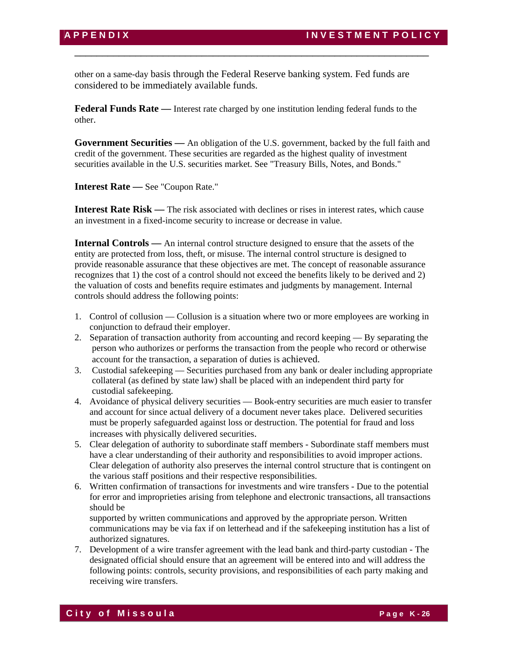other on a same-day basis through the Federal Reserve banking system. Fed funds are considered to be immediately available funds.

\_\_\_\_\_\_\_\_\_\_\_\_\_\_\_\_\_\_\_\_\_\_\_\_\_\_\_\_\_\_\_\_\_\_\_\_\_\_\_\_\_\_\_\_\_\_\_\_\_\_\_\_\_\_\_\_\_\_\_\_\_\_\_\_

**Federal Funds Rate —** Interest rate charged by one institution lending federal funds to the other.

**Government Securities —** An obligation of the U.S. government, backed by the full faith and credit of the government. These securities are regarded as the highest quality of investment securities available in the U.S. securities market. See "Treasury Bills, Notes, and Bonds."

**Interest Rate —** See "Coupon Rate."

**Interest Rate Risk —** The risk associated with declines or rises in interest rates, which cause an investment in a fixed-income security to increase or decrease in value.

**Internal Controls** — An internal control structure designed to ensure that the assets of the entity are protected from loss, theft, or misuse. The internal control structure is designed to provide reasonable assurance that these objectives are met. The concept of reasonable assurance recognizes that 1) the cost of a control should not exceed the benefits likely to be derived and 2) the valuation of costs and benefits require estimates and judgments by management. Internal controls should address the following points:

- 1. Control of collusion Collusion is a situation where two or more employees are working in conjunction to defraud their employer.
- 2. Separation of transaction authority from accounting and record keeping By separating the person who authorizes or performs the transaction from the people who record or otherwise account for the transaction, a separation of duties is achieved.
- 3. Custodial safekeeping Securities purchased from any bank or dealer including appropriate collateral (as defined by state law) shall be placed with an independent third party for custodial safekeeping.
- 4. Avoidance of physical delivery securities Book-entry securities are much easier to transfer and account for since actual delivery of a document never takes place. Delivered securities must be properly safeguarded against loss or destruction. The potential for fraud and loss increases with physically delivered securities.
- 5. Clear delegation of authority to subordinate staff members Subordinate staff members must have a clear understanding of their authority and responsibilities to avoid improper actions. Clear delegation of authority also preserves the internal control structure that is contingent on the various staff positions and their respective responsibilities.
- 6. Written confirmation of transactions for investments and wire transfers Due to the potential for error and improprieties arising from telephone and electronic transactions, all transactions should be

supported by written communications and approved by the appropriate person. Written communications may be via fax if on letterhead and if the safekeeping institution has a list of authorized signatures.

7. Development of a wire transfer agreement with the lead bank and third-party custodian - The designated official should ensure that an agreement will be entered into and will address the following points: controls, security provisions, and responsibilities of each party making and receiving wire transfers.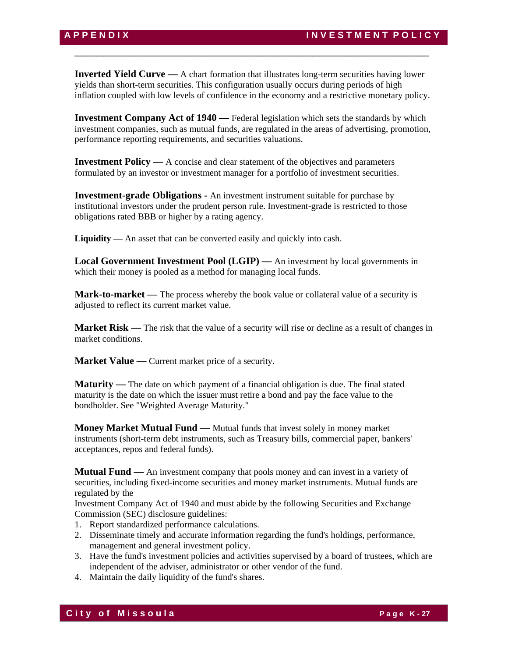**Inverted Yield Curve —** A chart formation that illustrates long-term securities having lower yields than short-term securities. This configuration usually occurs during periods of high inflation coupled with low levels of confidence in the economy and a restrictive monetary policy.

\_\_\_\_\_\_\_\_\_\_\_\_\_\_\_\_\_\_\_\_\_\_\_\_\_\_\_\_\_\_\_\_\_\_\_\_\_\_\_\_\_\_\_\_\_\_\_\_\_\_\_\_\_\_\_\_\_\_\_\_\_\_\_\_

**Investment Company Act of 1940** — Federal legislation which sets the standards by which investment companies, such as mutual funds, are regulated in the areas of advertising, promotion, performance reporting requirements, and securities valuations.

**Investment Policy —** A concise and clear statement of the objectives and parameters formulated by an investor or investment manager for a portfolio of investment securities.

**Investment-grade Obligations -** An investment instrument suitable for purchase by institutional investors under the prudent person rule. Investment-grade is restricted to those obligations rated BBB or higher by a rating agency.

**Liquidity** — An asset that can be converted easily and quickly into cash.

**Local Government Investment Pool (LGIP) —** An investment by local governments in which their money is pooled as a method for managing local funds.

**Mark-to-market —** The process whereby the book value or collateral value of a security is adjusted to reflect its current market value.

**Market Risk** — The risk that the value of a security will rise or decline as a result of changes in market conditions.

**Market Value** — Current market price of a security.

**Maturity** — The date on which payment of a financial obligation is due. The final stated maturity is the date on which the issuer must retire a bond and pay the face value to the bondholder. See "Weighted Average Maturity."

**Money Market Mutual Fund —** Mutual funds that invest solely in money market instruments (short-term debt instruments, such as Treasury bills, commercial paper, bankers' acceptances, repos and federal funds).

**Mutual Fund —** An investment company that pools money and can invest in a variety of securities, including fixed-income securities and money market instruments. Mutual funds are regulated by the

Investment Company Act of 1940 and must abide by the following Securities and Exchange Commission (SEC) disclosure guidelines:

- 1. Report standardized performance calculations.
- 2. Disseminate timely and accurate information regarding the fund's holdings, performance, management and general investment policy.
- 3. Have the fund's investment policies and activities supervised by a board of trustees, which are independent of the adviser, administrator or other vendor of the fund.
- 4. Maintain the daily liquidity of the fund's shares.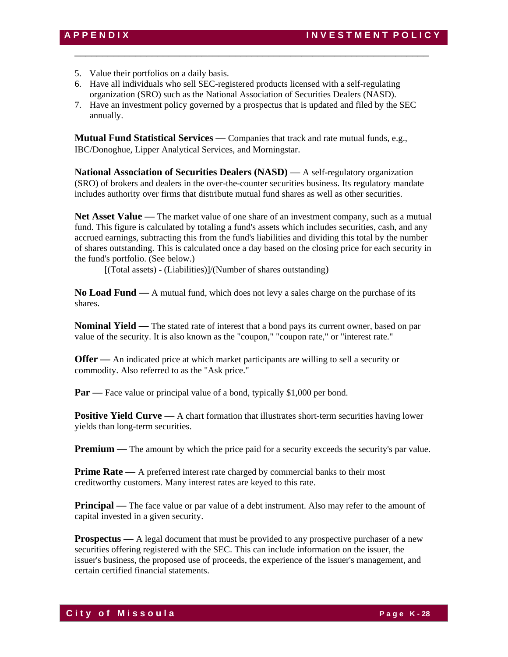- 5. Value their portfolios on a daily basis.
- 6. Have all individuals who sell SEC-registered products licensed with a self-regulating organization (SRO) such as the National Association of Securities Dealers (NASD).
- 7. Have an investment policy governed by a prospectus that is updated and filed by the SEC annually.

\_\_\_\_\_\_\_\_\_\_\_\_\_\_\_\_\_\_\_\_\_\_\_\_\_\_\_\_\_\_\_\_\_\_\_\_\_\_\_\_\_\_\_\_\_\_\_\_\_\_\_\_\_\_\_\_\_\_\_\_\_\_\_\_

**Mutual Fund Statistical Services** — Companies that track and rate mutual funds, e.g., IBC/Donoghue, Lipper Analytical Services, and Morningstar.

**National Association of Securities Dealers (NASD)** — A self-regulatory organization (SRO) of brokers and dealers in the over-the-counter securities business. Its regulatory mandate includes authority over firms that distribute mutual fund shares as well as other securities.

**Net Asset Value —** The market value of one share of an investment company, such as a mutual fund. This figure is calculated by totaling a fund's assets which includes securities, cash, and any accrued earnings, subtracting this from the fund's liabilities and dividing this total by the number of shares outstanding. This is calculated once a day based on the closing price for each security in the fund's portfolio. (See below.)

[(Total assets) - (Liabilities)]/(Number of shares outstanding)

**No Load Fund —** A mutual fund, which does not levy a sales charge on the purchase of its shares.

**Nominal Yield —** The stated rate of interest that a bond pays its current owner, based on par value of the security. It is also known as the "coupon," "coupon rate," or "interest rate."

**Offer** — An indicated price at which market participants are willing to sell a security or commodity. Also referred to as the "Ask price."

**Par** — Face value or principal value of a bond, typically \$1,000 per bond.

**Positive Yield Curve** — A chart formation that illustrates short-term securities having lower yields than long-term securities.

**Premium** — The amount by which the price paid for a security exceeds the security's par value.

**Prime Rate** — A preferred interest rate charged by commercial banks to their most creditworthy customers. Many interest rates are keyed to this rate.

**Principal** — The face value or par value of a debt instrument. Also may refer to the amount of capital invested in a given security.

**Prospectus** — A legal document that must be provided to any prospective purchaser of a new securities offering registered with the SEC. This can include information on the issuer, the issuer's business, the proposed use of proceeds, the experience of the issuer's management, and certain certified financial statements.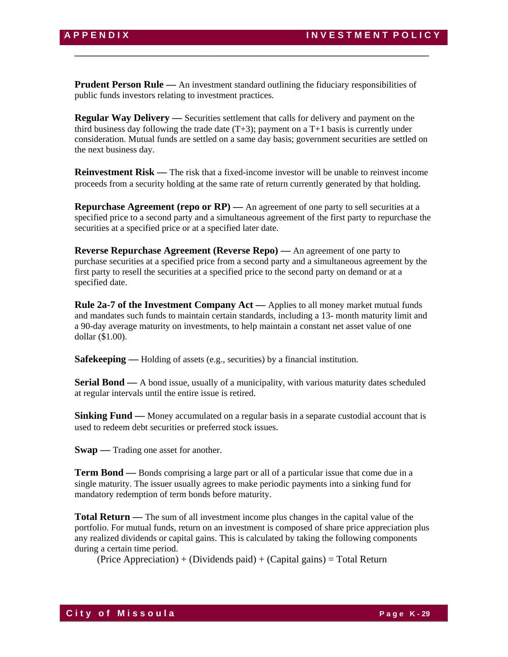**Prudent Person Rule** — An investment standard outlining the fiduciary responsibilities of public funds investors relating to investment practices.

\_\_\_\_\_\_\_\_\_\_\_\_\_\_\_\_\_\_\_\_\_\_\_\_\_\_\_\_\_\_\_\_\_\_\_\_\_\_\_\_\_\_\_\_\_\_\_\_\_\_\_\_\_\_\_\_\_\_\_\_\_\_\_\_

**Regular Way Delivery —** Securities settlement that calls for delivery and payment on the third business day following the trade date  $(T+3)$ ; payment on a T+1 basis is currently under consideration. Mutual funds are settled on a same day basis; government securities are settled on the next business day.

**Reinvestment Risk —** The risk that a fixed-income investor will be unable to reinvest income proceeds from a security holding at the same rate of return currently generated by that holding.

**Repurchase Agreement (repo or RP)** — An agreement of one party to sell securities at a specified price to a second party and a simultaneous agreement of the first party to repurchase the securities at a specified price or at a specified later date.

**Reverse Repurchase Agreement (Reverse Repo) —** An agreement of one party to purchase securities at a specified price from a second party and a simultaneous agreement by the first party to resell the securities at a specified price to the second party on demand or at a specified date.

**Rule 2a-7 of the Investment Company Act —** Applies to all money market mutual funds and mandates such funds to maintain certain standards, including a 13- month maturity limit and a 90-day average maturity on investments, to help maintain a constant net asset value of one dollar (\$1.00).

**Safekeeping** — Holding of assets (e.g., securities) by a financial institution.

**Serial Bond** — A bond issue, usually of a municipality, with various maturity dates scheduled at regular intervals until the entire issue is retired.

**Sinking Fund** — Money accumulated on a regular basis in a separate custodial account that is used to redeem debt securities or preferred stock issues.

**Swap** — Trading one asset for another.

**Term Bond —** Bonds comprising a large part or all of a particular issue that come due in a single maturity. The issuer usually agrees to make periodic payments into a sinking fund for mandatory redemption of term bonds before maturity.

**Total Return —** The sum of all investment income plus changes in the capital value of the portfolio. For mutual funds, return on an investment is composed of share price appreciation plus any realized dividends or capital gains. This is calculated by taking the following components during a certain time period.

 $(Price Approxation) + (Dividends paid) + (Capital gains) = Total Return$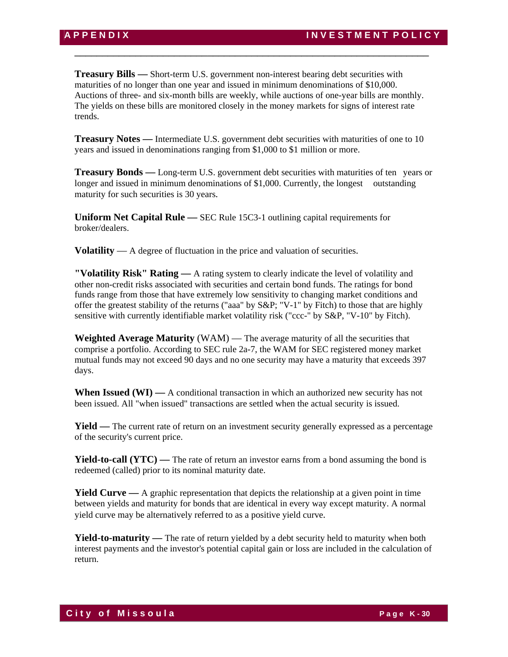**Treasury Bills —** Short-term U.S. government non-interest bearing debt securities with maturities of no longer than one year and issued in minimum denominations of \$10,000. Auctions of three- and six-month bills are weekly, while auctions of one-year bills are monthly. The yields on these bills are monitored closely in the money markets for signs of interest rate trends.

\_\_\_\_\_\_\_\_\_\_\_\_\_\_\_\_\_\_\_\_\_\_\_\_\_\_\_\_\_\_\_\_\_\_\_\_\_\_\_\_\_\_\_\_\_\_\_\_\_\_\_\_\_\_\_\_\_\_\_\_\_\_\_\_

**Treasury Notes —** Intermediate U.S. government debt securities with maturities of one to 10 years and issued in denominations ranging from \$1,000 to \$1 million or more.

**Treasury Bonds —** Long-term U.S. government debt securities with maturities of ten years or longer and issued in minimum denominations of \$1,000. Currently, the longest outstanding maturity for such securities is 30 years.

**Uniform Net Capital Rule —** SEC Rule 15C3-1 outlining capital requirements for broker/dealers.

**Volatility** — A degree of fluctuation in the price and valuation of securities.

**"Volatility Risk" Rating —** A rating system to clearly indicate the level of volatility and other non-credit risks associated with securities and certain bond funds. The ratings for bond funds range from those that have extremely low sensitivity to changing market conditions and offer the greatest stability of the returns ("aaa" by S&P; "V-1" by Fitch) to those that are highly sensitive with currently identifiable market volatility risk ("ccc-" by S&P, "V-10" by Fitch).

**Weighted Average Maturity** (WAM) — The average maturity of all the securities that comprise a portfolio. According to SEC rule 2a-7, the WAM for SEC registered money market mutual funds may not exceed 90 days and no one security may have a maturity that exceeds 397 days.

When Issued (WI) — A conditional transaction in which an authorized new security has not been issued. All "when issued" transactions are settled when the actual security is issued.

**Yield** — The current rate of return on an investment security generally expressed as a percentage of the security's current price.

**Yield-to-call (YTC)** — The rate of return an investor earns from a bond assuming the bond is redeemed (called) prior to its nominal maturity date.

**Yield Curve —** A graphic representation that depicts the relationship at a given point in time between yields and maturity for bonds that are identical in every way except maturity. A normal yield curve may be alternatively referred to as a positive yield curve.

**Yield-to-maturity** — The rate of return yielded by a debt security held to maturity when both interest payments and the investor's potential capital gain or loss are included in the calculation of return.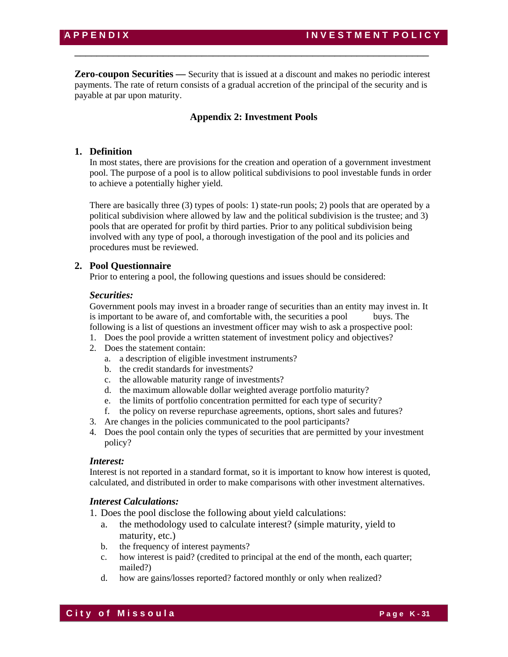**Zero-coupon Securities —** Security that is issued at a discount and makes no periodic interest payments. The rate of return consists of a gradual accretion of the principal of the security and is payable at par upon maturity.

\_\_\_\_\_\_\_\_\_\_\_\_\_\_\_\_\_\_\_\_\_\_\_\_\_\_\_\_\_\_\_\_\_\_\_\_\_\_\_\_\_\_\_\_\_\_\_\_\_\_\_\_\_\_\_\_\_\_\_\_\_\_\_\_

# **Appendix 2: Investment Pools**

# **1. Definition**

In most states, there are provisions for the creation and operation of a government investment pool. The purpose of a pool is to allow political subdivisions to pool investable funds in order to achieve a potentially higher yield.

There are basically three (3) types of pools: 1) state-run pools; 2) pools that are operated by a political subdivision where allowed by law and the political subdivision is the trustee; and 3) pools that are operated for profit by third parties. Prior to any political subdivision being involved with any type of pool, a thorough investigation of the pool and its policies and procedures must be reviewed.

# **2. Pool Questionnaire**

Prior to entering a pool, the following questions and issues should be considered:

## *Securities:*

Government pools may invest in a broader range of securities than an entity may invest in. It is important to be aware of, and comfortable with, the securities a pool buys. The following is a list of questions an investment officer may wish to ask a prospective pool:

- 1. Does the pool provide a written statement of investment policy and objectives?
- 2. Does the statement contain:
	- a. a description of eligible investment instruments?
	- b. the credit standards for investments?
	- c. the allowable maturity range of investments?
	- d. the maximum allowable dollar weighted average portfolio maturity?
	- e. the limits of portfolio concentration permitted for each type of security?
	- f. the policy on reverse repurchase agreements, options, short sales and futures?
- 3. Are changes in the policies communicated to the pool participants?
- 4. Does the pool contain only the types of securities that are permitted by your investment policy?

# *Interest:*

Interest is not reported in a standard format, so it is important to know how interest is quoted, calculated, and distributed in order to make comparisons with other investment alternatives.

# *Interest Calculations:*

- 1. Does the pool disclose the following about yield calculations:
	- a. the methodology used to calculate interest? (simple maturity, yield to maturity, etc.)
	- b. the frequency of interest payments?
	- c. how interest is paid? (credited to principal at the end of the month, each quarter; mailed?)
	- d. how are gains/losses reported? factored monthly or only when realized?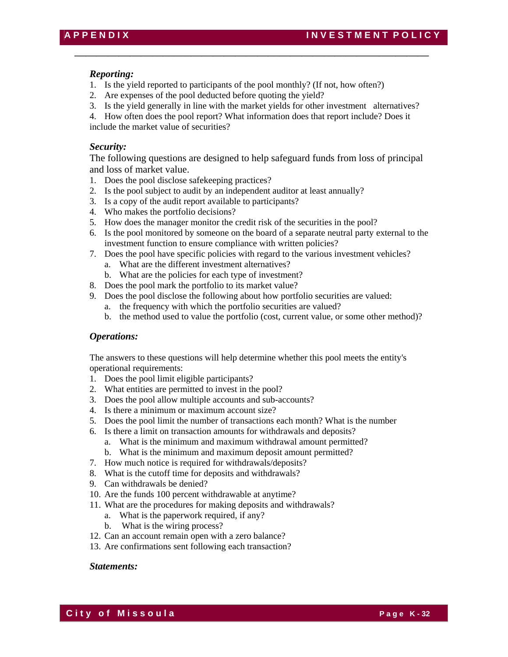# *Reporting:*

- 1. Is the yield reported to participants of the pool monthly? (If not, how often?)
- 2. Are expenses of the pool deducted before quoting the yield?
- 3. Is the yield generally in line with the market yields for other investment alternatives?

\_\_\_\_\_\_\_\_\_\_\_\_\_\_\_\_\_\_\_\_\_\_\_\_\_\_\_\_\_\_\_\_\_\_\_\_\_\_\_\_\_\_\_\_\_\_\_\_\_\_\_\_\_\_\_\_\_\_\_\_\_\_\_\_

4. How often does the pool report? What information does that report include? Does it include the market value of securities?

# *Security:*

The following questions are designed to help safeguard funds from loss of principal and loss of market value.

- 1. Does the pool disclose safekeeping practices?
- 2. Is the pool subject to audit by an independent auditor at least annually?
- 3. Is a copy of the audit report available to participants?
- 4. Who makes the portfolio decisions?
- 5. How does the manager monitor the credit risk of the securities in the pool?
- 6. Is the pool monitored by someone on the board of a separate neutral party external to the investment function to ensure compliance with written policies?
- 7. Does the pool have specific policies with regard to the various investment vehicles?
	- a. What are the different investment alternatives?
	- b. What are the policies for each type of investment?
- 8. Does the pool mark the portfolio to its market value?
- 9. Does the pool disclose the following about how portfolio securities are valued:
	- a. the frequency with which the portfolio securities are valued?
	- b. the method used to value the portfolio (cost, current value, or some other method)?

#### *Operations:*

The answers to these questions will help determine whether this pool meets the entity's operational requirements:

- 1. Does the pool limit eligible participants?
- 2. What entities are permitted to invest in the pool?
- 3. Does the pool allow multiple accounts and sub-accounts?
- 4. Is there a minimum or maximum account size?
- 5. Does the pool limit the number of transactions each month? What is the number
- 6. Is there a limit on transaction amounts for withdrawals and deposits?
	- a. What is the minimum and maximum withdrawal amount permitted?
	- b. What is the minimum and maximum deposit amount permitted?
- 7. How much notice is required for withdrawals/deposits?
- 8. What is the cutoff time for deposits and withdrawals?
- 9. Can withdrawals be denied?
- 10. Are the funds 100 percent withdrawable at anytime?
- 11. What are the procedures for making deposits and withdrawals?
	- a. What is the paperwork required, if any?
	- b. What is the wiring process?
- 12. Can an account remain open with a zero balance?
- 13. Are confirmations sent following each transaction?

# *Statements:*

**City of Missoula City of Missoula**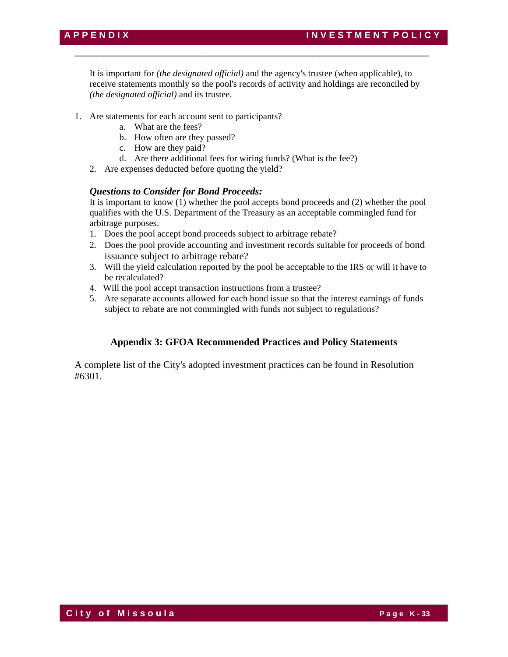It is important for *(the designated official)* and the agency's trustee (when applicable), to receive statements monthly so the pool's records of activity and holdings are reconciled by *(the designated official)* and its trustee.

\_\_\_\_\_\_\_\_\_\_\_\_\_\_\_\_\_\_\_\_\_\_\_\_\_\_\_\_\_\_\_\_\_\_\_\_\_\_\_\_\_\_\_\_\_\_\_\_\_\_\_\_\_\_\_\_\_\_\_\_\_\_\_\_

- 1. Are statements for each account sent to participants?
	- a. What are the fees?
	- b. How often are they passed?
	- c. How are they paid?
	- d. Are there additional fees for wiring funds? (What is the fee?)
	- 2. Are expenses deducted before quoting the yield?

# *Questions to Consider for Bond Proceeds:*

It is important to know (1) whether the pool accepts bond proceeds and (2) whether the pool qualifies with the U.S. Department of the Treasury as an acceptable commingled fund for arbitrage purposes.

- 1. Does the pool accept bond proceeds subject to arbitrage rebate?
- 2. Does the pool provide accounting and investment records suitable for proceeds of bond issuance subject to arbitrage rebate?
- 3. Will the yield calculation reported by the pool be acceptable to the IRS or will it have to be recalculated?
- 4. Will the pool accept transaction instructions from a trustee?
- 5. Are separate accounts allowed for each bond issue so that the interest earnings of funds subject to rebate are not commingled with funds not subject to regulations?

# **Appendix 3: GFOA Recommended Practices and Policy Statements**

A complete list of the City's adopted investment practices can be found in Resolution #6301.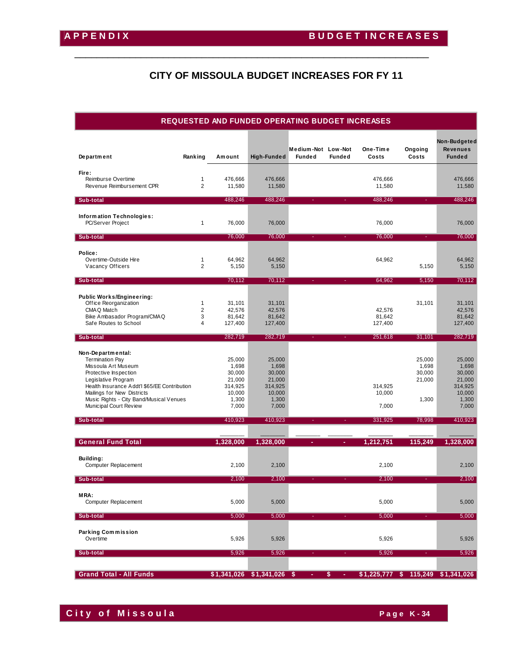# **CITY OF MISSOULA BUDGET INCREASES FOR FY 11**

\_\_\_\_\_\_\_\_\_\_\_\_\_\_\_\_\_\_\_\_\_\_\_\_\_\_\_\_\_\_\_\_\_\_\_\_\_\_\_\_\_\_\_\_\_\_\_\_\_\_\_\_\_\_\_\_\_\_\_\_\_\_\_\_

# **REQUESTED AND FUNDED OPERATING BUDGET INCREASES**

| Department                                                                                                                                                                                                                                                            | Ranking                                               | Amount                                                                     | High-Funded                                                                | Medium-Not Low-Not<br><b>Funded</b> | <b>Funded</b> | One-Time<br>Costs           | Ongoing<br>Costs                             | Non-Budgeted<br>Revenues<br><b>Funded</b>                                  |
|-----------------------------------------------------------------------------------------------------------------------------------------------------------------------------------------------------------------------------------------------------------------------|-------------------------------------------------------|----------------------------------------------------------------------------|----------------------------------------------------------------------------|-------------------------------------|---------------|-----------------------------|----------------------------------------------|----------------------------------------------------------------------------|
| Fire:<br>Reimburse Overtime<br>Revenue Reimbursement CPR                                                                                                                                                                                                              | 1<br>$\overline{2}$                                   | 476,666<br>11,580                                                          | 476,666<br>11,580                                                          |                                     |               | 476,666<br>11,580           |                                              | 476,666<br>11,580                                                          |
| Sub-total                                                                                                                                                                                                                                                             |                                                       | 488,246                                                                    | 488,246                                                                    |                                     |               | 488,246                     |                                              | 488,246                                                                    |
| Information Technologies:<br>PC/Server Project                                                                                                                                                                                                                        | $\mathbf{1}$                                          | 76,000                                                                     | 76,000                                                                     |                                     |               | 76,000                      |                                              | 76,000                                                                     |
| Sub-total                                                                                                                                                                                                                                                             |                                                       | 76,000                                                                     | 76,000                                                                     |                                     |               | 76,000                      | ÷.                                           | 76,000                                                                     |
| Police:<br>Overtime-Outside Hire<br>Vacancy Officers                                                                                                                                                                                                                  | $\mathbf{1}$<br>2                                     | 64,962<br>5,150                                                            | 64,962<br>5,150                                                            |                                     |               | 64,962                      | 5,150                                        | 64,962<br>5,150                                                            |
| Sub-total                                                                                                                                                                                                                                                             |                                                       | 70,112                                                                     | 70,112                                                                     |                                     |               | 64,962                      | 5,150                                        | 70,112                                                                     |
| <b>Public Works/Engineering:</b><br>Office Reorganization<br>CMAQ Match<br>Bike Ambasador Program/CMAQ<br>Safe Routes to School                                                                                                                                       | $\mathbf{1}$<br>$\overline{2}$<br>3<br>$\overline{4}$ | 31,101<br>42,576<br>81,642<br>127,400                                      | 31,101<br>42,576<br>81,642<br>127,400                                      |                                     |               | 42,576<br>81,642<br>127,400 | 31,101                                       | 31,101<br>42,576<br>81,642<br>127,400                                      |
| Sub-total                                                                                                                                                                                                                                                             |                                                       | 282,719                                                                    | 282,719                                                                    |                                     |               | 251,618                     | 31,101                                       | 282,719                                                                    |
| Non-Departmental:<br><b>Termination Pay</b><br>Missoula Art Museum<br>Protective Inspection<br>Legislative Program<br>Health Insurance Addt'l \$65/EE Contribution<br>Mailings for New Districts<br>Music Rights - City Band/Musical Venues<br>Municipal Court Review |                                                       | 25,000<br>1,698<br>30,000<br>21,000<br>314,925<br>10,000<br>1,300<br>7,000 | 25,000<br>1,698<br>30,000<br>21,000<br>314,925<br>10,000<br>1,300<br>7,000 |                                     |               | 314,925<br>10,000<br>7,000  | 25,000<br>1,698<br>30,000<br>21,000<br>1,300 | 25,000<br>1,698<br>30,000<br>21,000<br>314,925<br>10,000<br>1,300<br>7,000 |
| Sub-total                                                                                                                                                                                                                                                             |                                                       | 410,923                                                                    | 410,923                                                                    |                                     |               | 331,925                     | 78,998                                       | 410,923                                                                    |
| <b>General Fund Total</b>                                                                                                                                                                                                                                             |                                                       | 1,328,000                                                                  | 1,328,000                                                                  |                                     |               | 1,212,751                   | 115,249                                      | 1,328,000                                                                  |
| Building:<br>Computer Replacement                                                                                                                                                                                                                                     |                                                       | 2,100                                                                      | 2,100                                                                      |                                     |               | 2,100                       |                                              | 2,100                                                                      |
| Sub-total                                                                                                                                                                                                                                                             |                                                       | 2,100                                                                      | 2,100                                                                      |                                     |               | 2,100                       | ٠                                            | 2,100                                                                      |
| MRA:<br><b>Computer Replacement</b>                                                                                                                                                                                                                                   |                                                       | 5,000                                                                      | 5,000                                                                      |                                     |               | 5,000                       |                                              | 5,000                                                                      |
| Sub-total                                                                                                                                                                                                                                                             |                                                       | 5,000                                                                      | 5,000                                                                      |                                     |               | 5,000                       |                                              | 5,000                                                                      |
| <b>Parking Commission</b><br>Overtime                                                                                                                                                                                                                                 |                                                       | 5,926                                                                      | 5,926                                                                      |                                     |               | 5,926                       |                                              | 5,926                                                                      |
| Sub-total                                                                                                                                                                                                                                                             |                                                       | 5,926                                                                      | 5,926                                                                      |                                     |               | 5,926                       |                                              | 5,926                                                                      |
| <b>Grand Total - All Funds</b>                                                                                                                                                                                                                                        |                                                       |                                                                            | $$1,341,026$ $$1,341,026$ \$                                               |                                     | \$            |                             |                                              | $$1,225,777$ $$115,249$ $$1,341,026$                                       |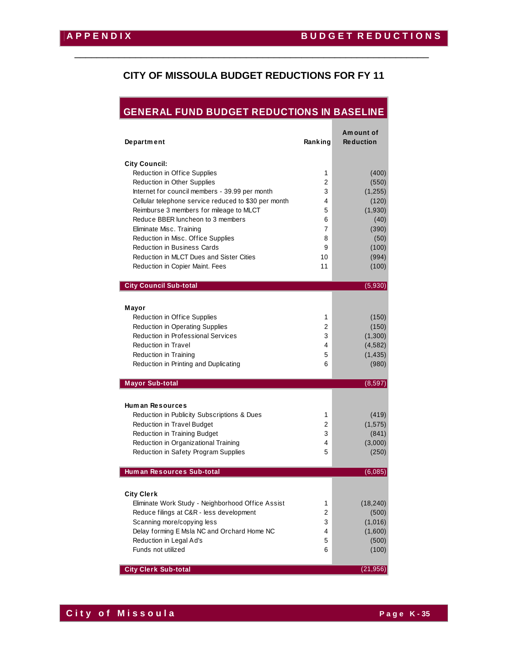# **CITY OF MISSOULA BUDGET REDUCTIONS FOR FY 11**

\_\_\_\_\_\_\_\_\_\_\_\_\_\_\_\_\_\_\_\_\_\_\_\_\_\_\_\_\_\_\_\_\_\_\_\_\_\_\_\_\_\_\_\_\_\_\_\_\_\_\_\_\_\_\_\_\_\_\_\_\_\_\_\_

# **GENERAL FUND BUDGET REDUCTIONS IN BASELINE**

| <b>Department</b>                                    | Ranking        | Amount of<br><b>Reduction</b> |
|------------------------------------------------------|----------------|-------------------------------|
| <b>City Council:</b>                                 |                |                               |
| Reduction in Office Supplies                         | 1              | (400)                         |
| Reduction in Other Supplies                          | $\overline{c}$ | (550)                         |
| Internet for council members - 39.99 per month       | 3              | (1, 255)                      |
| Cellular telephone service reduced to \$30 per month | 4              | (120)                         |
| Reimburse 3 members for mileage to MLCT              | 5              | (1,930)                       |
| Reduce BBER luncheon to 3 members                    | 6              | (40)                          |
| Eliminate Misc. Training                             | 7              | (390)                         |
| Reduction in Misc. Office Supplies                   | 8              | (50)                          |
| <b>Reduction in Business Cards</b>                   | 9              | (100)                         |
| Reduction in MLCT Dues and Sister Cities             | 10             | (994)                         |
| Reduction in Copier Maint. Fees                      | 11             | (100)                         |
| <b>City Council Sub-total</b>                        |                | (5,930)                       |
|                                                      |                |                               |
| Mayor                                                |                |                               |
| Reduction in Office Supplies                         | 1              | (150)                         |
| <b>Reduction in Operating Supplies</b>               | 2              | (150)                         |
| <b>Reduction in Professional Services</b>            | 3              | (1,300)                       |
| <b>Reduction in Travel</b>                           | 4              | (4, 582)                      |
| Reduction in Training                                | 5              | (1, 435)                      |
| Reduction in Printing and Duplicating                | 6              | (980)                         |
| <b>Mayor Sub-total</b>                               |                | (8,597)                       |
|                                                      |                |                               |
| <b>Human Resources</b>                               |                |                               |
| Reduction in Publicity Subscriptions & Dues          | 1              | (419)                         |
| <b>Reduction in Travel Budget</b>                    | 2              | (1, 575)                      |
| Reduction in Training Budget                         | 3              | (841)                         |
| Reduction in Organizational Training                 | 4              | (3,000)                       |
| Reduction in Safety Program Supplies                 | 5              | (250)                         |
| Hum an Resources Sub-total                           |                | (6,085)                       |
|                                                      |                |                               |
| <b>City Clerk</b>                                    |                |                               |
| Eliminate Work Study - Neighborhood Office Assist    | 1              | (18, 240)                     |
| Reduce filings at C&R - less development             | 2              | (500)                         |
| Scanning more/copying less                           | 3              | (1,016)                       |
| Delay forming E Msla NC and Orchard Home NC          | 4              | (1,600)                       |
| Reduction in Legal Ad's                              | 5              | (500)                         |
| Funds not utilized                                   | 6              | (100)                         |
| <b>City Clerk Sub-total</b>                          |                | (21, 956)                     |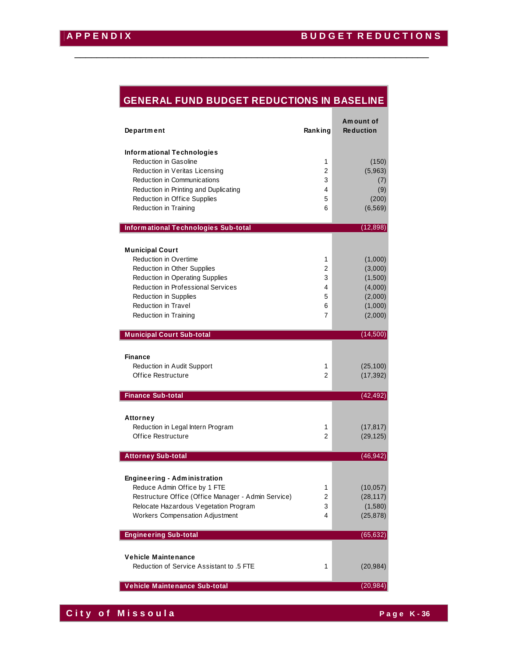# **GENERAL FUND BUDGET REDUCTIONS IN BASELINE**

\_\_\_\_\_\_\_\_\_\_\_\_\_\_\_\_\_\_\_\_\_\_\_\_\_\_\_\_\_\_\_\_\_\_\_\_\_\_\_\_\_\_\_\_\_\_\_\_\_\_\_\_\_\_\_\_\_\_\_\_\_\_\_\_

| <b>Department</b>                                                                                                                                                                                                                              | Ranking                                      | Am ount of<br><b>Reduction</b>                                            |
|------------------------------------------------------------------------------------------------------------------------------------------------------------------------------------------------------------------------------------------------|----------------------------------------------|---------------------------------------------------------------------------|
| Informational Technologies<br><b>Reduction in Gasoline</b><br>Reduction in Veritas Licensing<br>Reduction in Communications<br>Reduction in Printing and Duplicating<br><b>Reduction in Office Supplies</b>                                    | 1<br>2<br>3<br>4<br>5                        | (150)<br>(5,963)<br>(7)<br>(9)<br>(200)                                   |
| Reduction in Training                                                                                                                                                                                                                          | 6                                            | (6, 569)                                                                  |
| Informational Technologies Sub-total                                                                                                                                                                                                           |                                              | (12, 898)                                                                 |
| <b>Municipal Court</b><br><b>Reduction in Overtime</b><br>Reduction in Other Supplies<br>Reduction in Operating Supplies<br>Reduction in Professional Services<br>Reduction in Supplies<br><b>Reduction in Travel</b><br>Reduction in Training | 1<br>$\overline{2}$<br>3<br>4<br>5<br>6<br>7 | (1,000)<br>(3,000)<br>(1,500)<br>(4,000)<br>(2,000)<br>(1,000)<br>(2,000) |
| <b>Municipal Court Sub-total</b>                                                                                                                                                                                                               |                                              | (14,500)                                                                  |
| Finance<br>Reduction in Audit Support<br>Office Restructure                                                                                                                                                                                    | 1<br>$\overline{2}$                          | (25, 100)<br>(17, 392)                                                    |
| <b>Finance Sub-total</b>                                                                                                                                                                                                                       |                                              | (42, 492)                                                                 |
| <b>Attorney</b><br>Reduction in Legal Intern Program<br>Office Restructure                                                                                                                                                                     | 1<br>$\overline{2}$                          | (17, 817)<br>(29, 125)                                                    |
| <b>Attorney Sub-total</b>                                                                                                                                                                                                                      |                                              | (46, 942)                                                                 |
| <b>Engineering - Administration</b><br>Reduce Admin Office by 1 FTE<br>Restructure Office (Office Manager - Admin Service)<br>Relocate Hazardous Vegetation Program<br><b>Workers Compensation Adjustment</b>                                  | 1<br>2<br>3<br>4                             | (10, 057)<br>(28, 117)<br>(1,580)<br>(25, 878)                            |
| <b>Engineering Sub-total</b>                                                                                                                                                                                                                   |                                              | (65, 632)                                                                 |
| <b>Vehicle Maintenance</b><br>Reduction of Service Assistant to .5 FTE                                                                                                                                                                         | 1                                            | (20, 984)                                                                 |
| Vehicle Maintenance Sub-total                                                                                                                                                                                                                  |                                              | (20, 984)                                                                 |

**City of Missoula City of Missoula**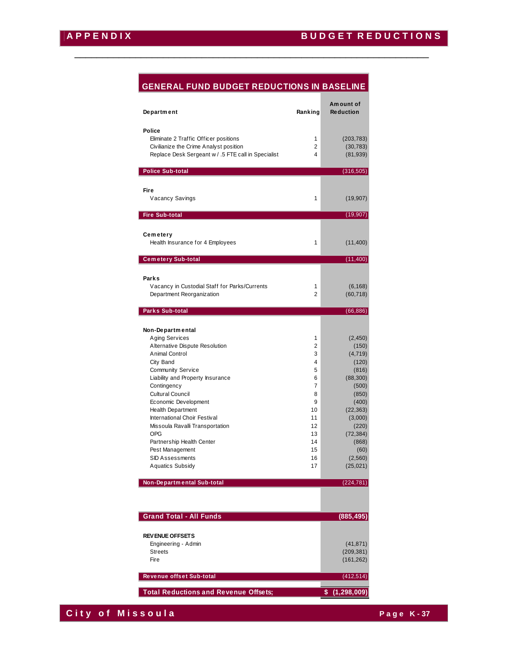# **GENERAL FUND BUDGET REDUCTIONS IN BASELINE**

\_\_\_\_\_\_\_\_\_\_\_\_\_\_\_\_\_\_\_\_\_\_\_\_\_\_\_\_\_\_\_\_\_\_\_\_\_\_\_\_\_\_\_\_\_\_\_\_\_\_\_\_\_\_\_\_\_\_\_\_\_\_\_\_

| Department                                                                      | Ranking             | Am ount of<br><b>Reduction</b> |
|---------------------------------------------------------------------------------|---------------------|--------------------------------|
| Police                                                                          |                     |                                |
| Eliminate 2 Traffic Officer positions<br>Civilianize the Crime Analyst position | 1<br>2              | (203, 783)<br>(30, 783)        |
| Replace Desk Sergeant w / .5 FTE call in Specialist                             | 4                   | (81, 939)                      |
|                                                                                 |                     |                                |
| <b>Police Sub-total</b>                                                         |                     | (316, 505)                     |
| Fire                                                                            |                     |                                |
| Vacancy Savings                                                                 | 1                   | (19,907)                       |
| <b>Fire Sub-total</b>                                                           |                     | (19, 907)                      |
| Cemetery                                                                        |                     |                                |
| Health Insurance for 4 Employees                                                | 1                   | (11, 400)                      |
| <b>Cemetery Sub-total</b>                                                       |                     | (11, 400)                      |
|                                                                                 |                     |                                |
| Parks                                                                           |                     |                                |
| Vacancy in Custodial Staff for Parks/Currents<br>Department Reorganization      | 1<br>$\overline{2}$ | (6, 168)<br>(60, 718)          |
|                                                                                 |                     |                                |
| <b>Parks Sub-total</b>                                                          |                     | (66, 886)                      |
| Non-Departmental                                                                |                     |                                |
| Aging Services                                                                  | 1                   | (2, 450)                       |
| Alternative Dispute Resolution<br>Animal Control                                | 2<br>3              | (150)<br>(4, 719)              |
| City Band                                                                       | 4                   | (120)                          |
| <b>Community Service</b>                                                        | 5                   | (816)                          |
| Liability and Property Insurance                                                | 6                   | (88, 300)                      |
| Contingency                                                                     | 7                   | (500)                          |
| <b>Cultural Council</b>                                                         | 8                   | (850)                          |
| Economic Development<br><b>Health Department</b>                                | 9<br>10             | (400)<br>(22, 363)             |
| International Choir Festival                                                    | 11                  | (3,000)                        |
| Missoula Ravalli Transportation                                                 | 12                  | (220)                          |
| <b>OPG</b>                                                                      | 13                  | (72, 384)                      |
| Partnership Health Center                                                       | 14                  | (868)                          |
| Pest Management                                                                 | 15                  | (60)                           |
| <b>SID Assessments</b><br><b>Aquatics Subsidy</b>                               | 16<br>17            | (2,560)<br>(25, 021)           |
| Non-Departmental Sub-total                                                      |                     | (224, 781)                     |
|                                                                                 |                     |                                |
|                                                                                 |                     |                                |
| <b>Grand Total - All Funds</b>                                                  |                     | (885, 495)                     |
| <b>REVENUE OFFSETS</b>                                                          |                     |                                |
| Engineering - Admin                                                             |                     | (41, 871)                      |
| <b>Streets</b>                                                                  |                     | (209, 381)                     |
| Fire                                                                            |                     | (161, 262)                     |
| Revenue offset Sub-total                                                        |                     | (412, 514)                     |
| <b>Total Reductions and Revenue Offsets;</b>                                    |                     | \$(1, 298, 009)                |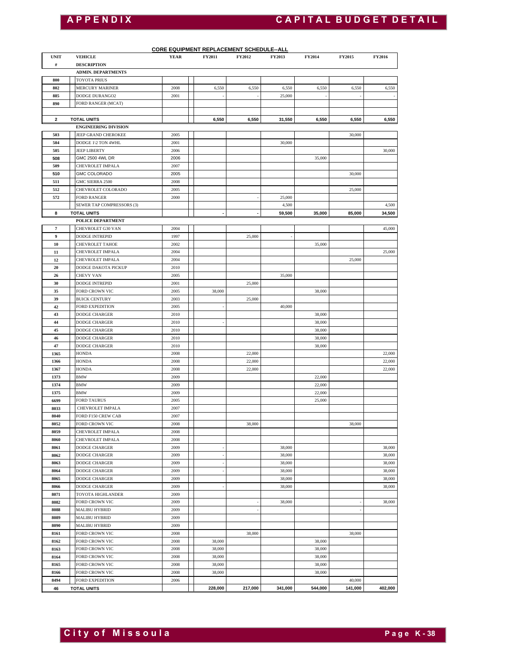# **A P P E N D I X C A P I T A L B U D G E T D E T A I L**

| <b>UNIT</b>         | <b>VEHICLE</b>                            | <b>CORE EQUIPMENT REPLACEMENT SCHEDULE--ALL</b><br>YEAR | <b>FY2014</b>    | FY2015        | <b>FY2016</b> |                  |         |         |
|---------------------|-------------------------------------------|---------------------------------------------------------|------------------|---------------|---------------|------------------|---------|---------|
| $\#$                | <b>DESCRIPTION</b>                        |                                                         | <b>FY2011</b>    | <b>FY2012</b> | <b>FY2013</b> |                  |         |         |
|                     | <b>ADMIN. DEPARTMENTS</b>                 |                                                         |                  |               |               |                  |         |         |
| 800                 | TOYOTA PRIUS                              |                                                         |                  |               |               |                  |         |         |
| 802                 | <b>MERCURY MARINER</b>                    | 2008                                                    | 6,550            | 6,550         | 6,550         | 6,550            | 6,550   | 6,550   |
| 885                 | DODGE DURANGO2                            | 2001                                                    |                  | $\sim$        | 25,000        |                  | i,      |         |
| 890                 | FORD RANGER (MCAT)                        |                                                         |                  |               |               |                  |         |         |
|                     |                                           |                                                         |                  |               |               |                  |         |         |
| 2                   | <b>TOTAL UNITS</b>                        |                                                         | 6,550            | 6,550         | 31,550        | 6,550            | 6,550   | 6,550   |
|                     | <b>ENGINEERING DIVISION</b>               |                                                         |                  |               |               |                  |         |         |
| 503                 | JEEP GRAND CHEROKEE                       | 2005                                                    |                  |               |               |                  | 30,000  |         |
| 504<br>505          | DODGE 1\2 TON 4WHL<br><b>JEEP LIBERTY</b> | 2001<br>2006                                            |                  |               | 30,000        |                  |         | 30,000  |
| 508                 | GMC 2500 4WL DR                           | 2006                                                    |                  |               |               | 35,000           |         |         |
| 509                 | CHEVROLET IMPALA                          | 2007                                                    |                  |               |               |                  |         |         |
| 510                 | <b>GMC COLORADO</b>                       | 2005                                                    |                  |               |               |                  | 30,000  |         |
| 511                 | GMC SIERRA 2500                           | 2008                                                    |                  |               |               |                  |         |         |
| 512                 | CHEVROLET COLORADO                        | 2005                                                    |                  |               |               |                  | 25,000  |         |
| 572                 | <b>FORD RANGER</b>                        | 2000                                                    |                  |               | 25,000        |                  |         |         |
|                     | SEWER TAP COMPRESSORS (3)                 |                                                         |                  |               | 4,500         |                  |         | 4,500   |
| 8                   | <b>TOTAL UNITS</b>                        |                                                         |                  |               | 59,500        | 35,000           | 85,000  | 34,500  |
|                     | POLICE DEPARTMENT                         |                                                         |                  |               |               |                  |         |         |
| $\scriptstyle\rm 7$ | CHEVROLET G30 VAN                         | 2004                                                    |                  |               |               |                  |         | 45,000  |
| 9                   | <b>DODGE INTREPID</b>                     | 1997                                                    |                  | 25,000        |               |                  |         |         |
| 10                  | <b>CHEVROLET TAHOE</b>                    | 2002                                                    |                  |               |               | 35,000           |         |         |
| 11                  | CHEVROLET IMPALA                          | 2004                                                    |                  |               |               |                  |         | 25,000  |
| 12                  | CHEVROLET IMPALA                          | 2004                                                    |                  |               |               |                  | 25,000  |         |
| 20                  | <b>DODGE DAKOTA PICKUP</b>                | 2010                                                    |                  |               |               |                  |         |         |
| 26<br>30            | CHEVY VAN<br><b>DODGE INTREPID</b>        | 2005<br>2001                                            |                  | 25,000        | 35,000        |                  |         |         |
| 35                  | FORD CROWN VIC                            | 2005                                                    | 38,000           |               |               | 38,000           |         |         |
| 39                  | <b>BUICK CENTURY</b>                      | 2003                                                    |                  | 25,000        |               |                  |         |         |
| 42                  | <b>FORD EXPEDITION</b>                    | 2005                                                    |                  |               | 40,000        |                  |         |         |
| 43                  | <b>DODGE CHARGER</b>                      | 2010                                                    |                  |               |               | 38,000           |         |         |
| 44                  | <b>DODGE CHARGER</b>                      | 2010                                                    |                  |               |               | 38,000           |         |         |
| 45                  | <b>DODGE CHARGER</b>                      | 2010                                                    |                  |               |               | 38,000           |         |         |
| 46                  | <b>DODGE CHARGER</b>                      | 2010                                                    |                  |               |               | 38,000           |         |         |
| 47                  | <b>DODGE CHARGER</b>                      | 2010                                                    |                  |               |               | 38,000           |         |         |
| 1365                | <b>HONDA</b>                              | 2008                                                    |                  | 22,000        |               |                  |         | 22,000  |
| 1366                | <b>HONDA</b>                              | 2008                                                    |                  | 22,000        |               |                  |         | 22,000  |
| 1367                | <b>HONDA</b>                              | 2008                                                    |                  | 22,000        |               |                  |         | 22,000  |
| 1373                | <b>BMW</b>                                | 2009                                                    |                  |               |               | 22,000           |         |         |
| 1374                | <b>BMW</b>                                | 2009                                                    |                  |               |               | 22,000           |         |         |
| 1375                | <b>BMW</b>                                | 2009                                                    |                  |               |               | 22,000           |         |         |
| 6699                | <b>FORD TAURUS</b>                        | 2005                                                    |                  |               |               | 25,000           |         |         |
| 8033                | CHEVROLET IMPALA                          | 2007                                                    |                  |               |               |                  |         |         |
| 8040<br>8052        | FORD F150 CREW CAB<br>FORD CROWN VIC      | 2007<br>2008                                            |                  | 38,000        |               |                  | 38,000  |         |
| 8059                | CHEVROLET IMPALA                          | 2008                                                    |                  |               |               |                  |         |         |
| 8060                | CHEVROLET IMPALA                          | 2008                                                    |                  |               |               |                  |         |         |
| 8061                | <b>DODGE CHARGER</b>                      | 2009                                                    |                  |               | 38,000        |                  |         | 38,000  |
| 8062                | <b>DODGE CHARGER</b>                      | 2009                                                    |                  |               | 38,000        |                  |         | 38,000  |
| 8063                | <b>DODGE CHARGER</b>                      | 2009                                                    |                  |               | 38,000        |                  |         | 38,000  |
| 8064                | <b>DODGE CHARGER</b>                      | 2009                                                    |                  |               | 38,000        |                  |         | 38,000  |
| 8065                | DODGE CHARGER                             | 2009                                                    |                  |               | 38,000        |                  |         | 38,000  |
| 8066                | <b>DODGE CHARGER</b>                      | 2009                                                    |                  |               | 38,000        |                  |         | 38,000  |
| 8071                | TOYOTA HIGHLANDER                         | 2009                                                    |                  |               |               |                  |         |         |
| 8082                | FORD CROWN VIC                            | 2009                                                    |                  |               | 38,000        |                  |         | 38,000  |
| 8088                | <b>MALIBU HYBRID</b>                      | 2009                                                    |                  |               |               |                  |         |         |
| 8089                | <b>MALIBU HYBRID</b>                      | 2009                                                    |                  |               |               |                  |         |         |
| 8090                | <b>MALIBU HYBRID</b>                      | 2009                                                    |                  |               |               |                  |         |         |
| 8161                | FORD CROWN VIC                            | 2008                                                    |                  | 38,000        |               |                  | 38,000  |         |
| 8162                | FORD CROWN VIC                            | 2008                                                    | 38,000           |               |               | 38,000           |         |         |
| 8163<br>8164        | FORD CROWN VIC<br>FORD CROWN VIC          | 2008<br>2008                                            | 38,000<br>38,000 |               |               | 38,000<br>38,000 |         |         |
| 8165                | FORD CROWN VIC                            | 2008                                                    | 38,000           |               |               | 38,000           |         |         |
| 8166                | FORD CROWN VIC                            | 2008                                                    | 38,000           |               |               | 38,000           |         |         |
| 8494                | <b>FORD EXPEDITION</b>                    | 2006                                                    |                  |               |               |                  | 40,000  |         |
| 46                  | <b>TOTAL UNITS</b>                        |                                                         | 228,000          | 217,000       | 341,000       | 544,000          | 141,000 | 402,000 |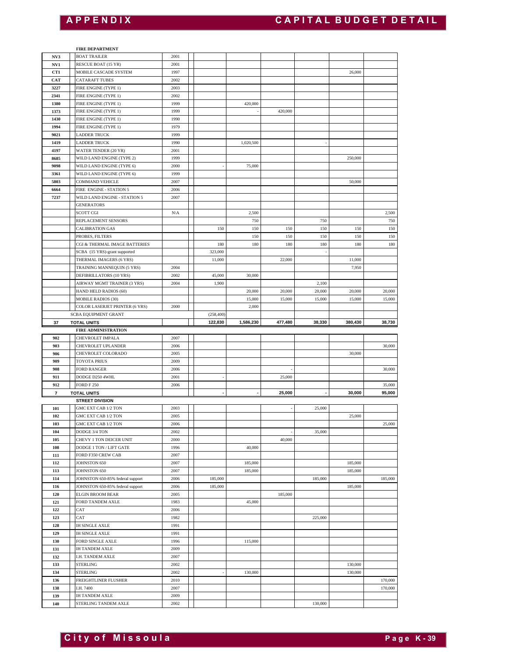**FIRE DEPARTMENT**

#### **NV3** BOAT TRAILER 2001 **NV1** RESCUE BOAT (15 YR) 2001 **CT1** MOBILE CASCADE SYSTEM 1997 1997 26,000 **CAT** CATARAFT TUBES 2002 FIRE ENGINE (TYPE 1) 2003 FIRE ENGINE (TYPE 1) 2002 FIRE ENGINE (TYPE 1) 1999 1999 420,000 FIRE ENGINE (TYPE 1) 1999 1 420,000 FIRE ENGINE (TYPE 1) 1990 FIRE ENGINE (TYPE 1) 1979 LADDER TRUCK 1999 LADDER TRUCK 1990 1,020,500 WATER TENDER (20 YR) 2001 WILD LAND ENGINE (TYPE 2) 1999 1999 250,000 WILD LAND ENGINE (TYPE 6) 2000 - 75,000 WILD LAND ENGINE (TYPE 6) 1999 COMMAND VEHICLE 2007 50,000 FIRE ENGINE - STATION 5 2006 WILD LAND ENGINE - STATION 5 2007 GENERATORS SCOTT CGI NNA | NA 2,500 | 2,500 REPLACEMENT SENSORS 750 750 750 CALIBRATION GAS 150 150 150 150 150 150 PROBES, FILTERS 150 150 150 150 150 CGI & THERMAL IMAGE BATTERIES 180 180 180 180 180 180  $SCBA$  (15 YRS)-grant supported  $323,000$ THERMAL IMAGERS (6 YRS) 11,000 11,000 22,000 22,000 11,000 TRAINING MANNEQUIN (5 YRS) 2004 7,950 DEFIBRILLATORS (10 YRS) 2002 45,000 30,000 AIRWAY MGMT TRAINER (3 YRS) 2004 1,900 2,900 HAND HELD RADIOS (60) 20,000 20,000 20,000 20,000 20,000 20,000 20,000 20,000 20,000 20,000 20,000 20,000 20,000 20,000 20,000 20,000 20,000 20,000 20,000 20,000 20,000 20,000 20,000 20,000 20,000 20,000 20,000 20,000 20,0 MOBILE RADIOS (30)  $\begin{array}{|c|c|c|c|c|c|c|c|c|} \hline \end{array}$  15,000  $\begin{array}{|c|c|c|c|c|c|c|c|c|} \hline \end{array}$  15,000  $\begin{array}{|c|c|c|c|c|c|c|c|c|} \hline \end{array}$  15,000 15,000 15,000 15,000 15,000 15,000 15,000 15,000 15,000 15,000 15,000 15,0 COLOR LASERJET PRINTER (6 YRS) 2000 2000 2,000  $(258, 40)$ **37 TOTAL UNITS 1,586,230 122,830 477,480 38,330 380,430 38,730 FIRE ADMINISTRATION** CHEVROLET IMPALA 2007 CHEVROLET UPLANDER 2006 30,000 CHEVROLET COLORADO 2005 30,000 TOYOTA PRIUS 2009 FORD RANGER 2006 - 30,000 DODGE D250 4WHL 2001 2001 - 25,000 **FORD F** 250 2006 2006 **35,000 7 TOTAL UNITS - - 25,000 - 30,000 95,000 STREET DIVISION** GMC EXT CAB 1/2 TON 2003 2003 2003 GMC EXT CAB 1/2 TON 2005 2005 2005 25,000 GMC EXT CAB 1/2 TON 25,000 DODGE 3/4 TON 2002 2002 35,000 CHEVY 1 TON DEICER UNIT 2000 2000 40,000 DODGE 1 TON / LIFT GATE 1996 1 2000 FORD F350 CREW CAB 2007 JOHNSTON 650 2007 2007 185,000 185,000 185,000 185,000 JOHNSTON 650 2007 2007 185,000 185,000 185,000 185,000 JOHNSTON 650-85% federal support 2006 185,000 185,000 185,000 185,000 185,000 185,000 185,000 185,000 185,000 185,000 185,000 185,000 185,000 185,000 185,000 185,000 185,000 185,000 185,000 185,000 185,000 185,000 18 JOHNSTON 650-85% federal support 2006 185,000 185,000 185,000 185,000 185,000 185,000 185,000 185,000 185,000 185,000 185,000 185,000 185,000 185,000 185,000 185,000 185,000 185,000 185,000 185,000 185,000 186,000 18 ELGIN BROOM BEAR 2005 2005 185,000 FORD TANDEM AXLE 1983 1983 45,000 CAT 2006 CAT 225,000 IH SINGLE AXLE 1991 IH SINGLE AXLE 1991 FORD SINGLE AXLE 1996 1996 115,000 IH TANDEM AXLE 2009 I.H. TANDEM AXLE 2007 STERLING 2002 1 2002 130,000 STERLING 2002 1 2002 - 130,000 130,000 FREIGHTLINER FLUSHER 2010 2010 170,000 I.H. 7400 2007 170,000 IH TANDEM AXLE 2009 STERLING TANDEM AXLE 2002 2002 130,000 SCBA EQUIPMENT GRANT **E i** the second to the second to the second to the second to the second to the second to the second to the second to the second to the second to the second to the second to the second to the second to the second to the se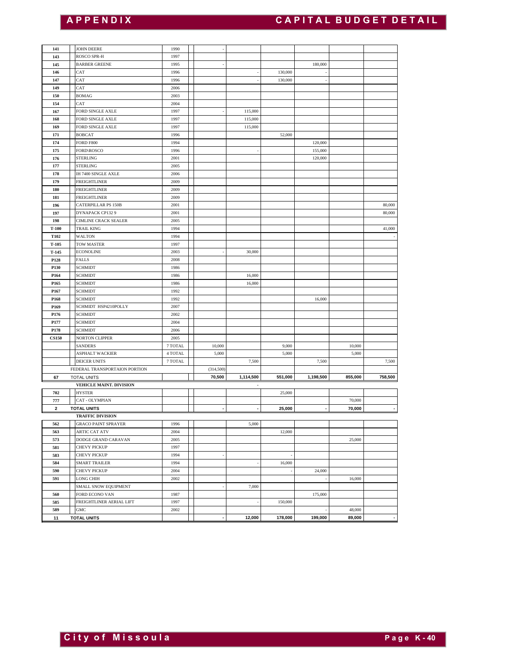| <b>APPENDIX</b>                 |                                                                                                                                                                                                                                                                                                                                                                                                                                                                                                           |                                                                                                                                                                            |                               |                                                  | <b>CAPITAL BUDGET DETAIL</b> |                                                    |                            |
|---------------------------------|-----------------------------------------------------------------------------------------------------------------------------------------------------------------------------------------------------------------------------------------------------------------------------------------------------------------------------------------------------------------------------------------------------------------------------------------------------------------------------------------------------------|----------------------------------------------------------------------------------------------------------------------------------------------------------------------------|-------------------------------|--------------------------------------------------|------------------------------|----------------------------------------------------|----------------------------|
|                                 |                                                                                                                                                                                                                                                                                                                                                                                                                                                                                                           |                                                                                                                                                                            |                               |                                                  |                              |                                                    |                            |
| <b>JOHN DEERE</b>               | 1990                                                                                                                                                                                                                                                                                                                                                                                                                                                                                                      |                                                                                                                                                                            |                               |                                                  |                              |                                                    |                            |
|                                 |                                                                                                                                                                                                                                                                                                                                                                                                                                                                                                           |                                                                                                                                                                            |                               |                                                  |                              |                                                    |                            |
| <b>BARBER GREENE</b>            | 1995                                                                                                                                                                                                                                                                                                                                                                                                                                                                                                      | ٠                                                                                                                                                                          |                               |                                                  | 180,000                      |                                                    |                            |
| CAT                             | 1996                                                                                                                                                                                                                                                                                                                                                                                                                                                                                                      |                                                                                                                                                                            |                               | 130,000                                          |                              |                                                    |                            |
| CAT                             | 1996                                                                                                                                                                                                                                                                                                                                                                                                                                                                                                      |                                                                                                                                                                            |                               | 130,000                                          |                              |                                                    |                            |
|                                 |                                                                                                                                                                                                                                                                                                                                                                                                                                                                                                           |                                                                                                                                                                            |                               |                                                  |                              |                                                    |                            |
|                                 |                                                                                                                                                                                                                                                                                                                                                                                                                                                                                                           |                                                                                                                                                                            |                               |                                                  |                              |                                                    |                            |
|                                 |                                                                                                                                                                                                                                                                                                                                                                                                                                                                                                           |                                                                                                                                                                            |                               |                                                  |                              |                                                    |                            |
| <b>FORD SINGLE AXLE</b>         | 1997                                                                                                                                                                                                                                                                                                                                                                                                                                                                                                      |                                                                                                                                                                            | 115,000                       |                                                  |                              |                                                    |                            |
| FORD SINGLE AXLE                | 1997                                                                                                                                                                                                                                                                                                                                                                                                                                                                                                      |                                                                                                                                                                            | 115,000                       |                                                  |                              |                                                    |                            |
| <b>BOBCAT</b>                   | 1996                                                                                                                                                                                                                                                                                                                                                                                                                                                                                                      |                                                                                                                                                                            |                               | 52,000                                           |                              |                                                    |                            |
| <b>FORD F800</b>                | 1994                                                                                                                                                                                                                                                                                                                                                                                                                                                                                                      |                                                                                                                                                                            |                               |                                                  | 120,000                      |                                                    |                            |
|                                 |                                                                                                                                                                                                                                                                                                                                                                                                                                                                                                           |                                                                                                                                                                            |                               |                                                  |                              |                                                    |                            |
|                                 |                                                                                                                                                                                                                                                                                                                                                                                                                                                                                                           |                                                                                                                                                                            |                               |                                                  |                              |                                                    |                            |
| IH 7400 SINGLE AXLE             | 2006                                                                                                                                                                                                                                                                                                                                                                                                                                                                                                      |                                                                                                                                                                            |                               |                                                  |                              |                                                    |                            |
| <b>FREIGHTLINER</b>             | 2009                                                                                                                                                                                                                                                                                                                                                                                                                                                                                                      |                                                                                                                                                                            |                               |                                                  |                              |                                                    |                            |
| <b>FREIGHTLINER</b>             | 2009                                                                                                                                                                                                                                                                                                                                                                                                                                                                                                      |                                                                                                                                                                            |                               |                                                  |                              |                                                    |                            |
| <b>FREIGHTLINER</b>             | 2009                                                                                                                                                                                                                                                                                                                                                                                                                                                                                                      |                                                                                                                                                                            |                               |                                                  |                              |                                                    |                            |
| <b>CATERPILLAR PS 150B</b>      | 2001                                                                                                                                                                                                                                                                                                                                                                                                                                                                                                      |                                                                                                                                                                            |                               |                                                  |                              |                                                    | 80,000                     |
| DYNAPACK CP132 9                | 2001                                                                                                                                                                                                                                                                                                                                                                                                                                                                                                      |                                                                                                                                                                            |                               |                                                  |                              |                                                    | 80,000                     |
|                                 |                                                                                                                                                                                                                                                                                                                                                                                                                                                                                                           |                                                                                                                                                                            |                               |                                                  |                              |                                                    | 41,000                     |
|                                 |                                                                                                                                                                                                                                                                                                                                                                                                                                                                                                           |                                                                                                                                                                            |                               |                                                  |                              |                                                    |                            |
|                                 |                                                                                                                                                                                                                                                                                                                                                                                                                                                                                                           |                                                                                                                                                                            |                               |                                                  |                              |                                                    |                            |
| <b>ECONOLINE</b>                | 2003                                                                                                                                                                                                                                                                                                                                                                                                                                                                                                      |                                                                                                                                                                            | 30,000                        |                                                  |                              |                                                    |                            |
| <b>FALLS</b>                    | 2008                                                                                                                                                                                                                                                                                                                                                                                                                                                                                                      |                                                                                                                                                                            |                               |                                                  |                              |                                                    |                            |
| <b>SCHMIDT</b>                  | 1986                                                                                                                                                                                                                                                                                                                                                                                                                                                                                                      |                                                                                                                                                                            |                               |                                                  |                              |                                                    |                            |
| <b>SCHMIDT</b>                  | 1986                                                                                                                                                                                                                                                                                                                                                                                                                                                                                                      |                                                                                                                                                                            | 16,000                        |                                                  |                              |                                                    |                            |
|                                 |                                                                                                                                                                                                                                                                                                                                                                                                                                                                                                           |                                                                                                                                                                            |                               |                                                  |                              |                                                    |                            |
|                                 |                                                                                                                                                                                                                                                                                                                                                                                                                                                                                                           |                                                                                                                                                                            |                               |                                                  |                              |                                                    |                            |
|                                 |                                                                                                                                                                                                                                                                                                                                                                                                                                                                                                           |                                                                                                                                                                            |                               |                                                  |                              |                                                    |                            |
| <b>SCHMIDT</b>                  | 2002                                                                                                                                                                                                                                                                                                                                                                                                                                                                                                      |                                                                                                                                                                            |                               |                                                  |                              |                                                    |                            |
| <b>SCHMIDT</b>                  | 2004                                                                                                                                                                                                                                                                                                                                                                                                                                                                                                      |                                                                                                                                                                            |                               |                                                  |                              |                                                    |                            |
| <b>SCHMIDT</b>                  | 2006                                                                                                                                                                                                                                                                                                                                                                                                                                                                                                      |                                                                                                                                                                            |                               |                                                  |                              |                                                    |                            |
| NORTON CLIPPER                  | 2005                                                                                                                                                                                                                                                                                                                                                                                                                                                                                                      |                                                                                                                                                                            |                               |                                                  |                              |                                                    |                            |
| <b>SANDERS</b>                  | 7 TOTAL                                                                                                                                                                                                                                                                                                                                                                                                                                                                                                   | 10,000                                                                                                                                                                     |                               | 9,000                                            |                              | 10,000                                             |                            |
|                                 |                                                                                                                                                                                                                                                                                                                                                                                                                                                                                                           |                                                                                                                                                                            |                               | 5,000                                            |                              |                                                    |                            |
|                                 |                                                                                                                                                                                                                                                                                                                                                                                                                                                                                                           |                                                                                                                                                                            |                               |                                                  |                              |                                                    | 7,500                      |
|                                 |                                                                                                                                                                                                                                                                                                                                                                                                                                                                                                           |                                                                                                                                                                            |                               |                                                  |                              |                                                    | 758,500                    |
| <b>VEHICLE MAINT. DIVISION</b>  |                                                                                                                                                                                                                                                                                                                                                                                                                                                                                                           |                                                                                                                                                                            | ٠                             |                                                  |                              |                                                    |                            |
| <b>HYSTER</b>                   |                                                                                                                                                                                                                                                                                                                                                                                                                                                                                                           |                                                                                                                                                                            |                               | 25,000                                           |                              |                                                    |                            |
| CAT - OLYMPIAN                  |                                                                                                                                                                                                                                                                                                                                                                                                                                                                                                           |                                                                                                                                                                            |                               |                                                  |                              | 70,000                                             |                            |
| <b>TOTAL UNITS</b>              |                                                                                                                                                                                                                                                                                                                                                                                                                                                                                                           | $\blacksquare$                                                                                                                                                             | $\overline{a}$                | 25,000                                           | J.                           | 70,000                                             |                            |
|                                 |                                                                                                                                                                                                                                                                                                                                                                                                                                                                                                           |                                                                                                                                                                            |                               |                                                  |                              |                                                    |                            |
|                                 |                                                                                                                                                                                                                                                                                                                                                                                                                                                                                                           |                                                                                                                                                                            |                               |                                                  |                              |                                                    |                            |
|                                 |                                                                                                                                                                                                                                                                                                                                                                                                                                                                                                           |                                                                                                                                                                            |                               |                                                  |                              |                                                    |                            |
| CHEVY PICKUP                    | 1997                                                                                                                                                                                                                                                                                                                                                                                                                                                                                                      |                                                                                                                                                                            |                               |                                                  |                              |                                                    |                            |
| CHEVY PICKUP                    | 1994                                                                                                                                                                                                                                                                                                                                                                                                                                                                                                      | ٠                                                                                                                                                                          |                               |                                                  |                              |                                                    |                            |
| <b>SMART TRAILER</b>            | 1994                                                                                                                                                                                                                                                                                                                                                                                                                                                                                                      |                                                                                                                                                                            |                               | 16,000                                           |                              |                                                    |                            |
| CHEVY PICKUP                    | 2004                                                                                                                                                                                                                                                                                                                                                                                                                                                                                                      |                                                                                                                                                                            |                               |                                                  | 24,000                       |                                                    |                            |
|                                 |                                                                                                                                                                                                                                                                                                                                                                                                                                                                                                           |                                                                                                                                                                            |                               |                                                  |                              | 16,000                                             |                            |
| LONG CHIH                       | 2002                                                                                                                                                                                                                                                                                                                                                                                                                                                                                                      |                                                                                                                                                                            |                               |                                                  |                              |                                                    |                            |
| SMALL SNOW EQUIPMENT            |                                                                                                                                                                                                                                                                                                                                                                                                                                                                                                           |                                                                                                                                                                            | 7,000                         |                                                  |                              |                                                    |                            |
| FORD ECONO VAN                  | 1987                                                                                                                                                                                                                                                                                                                                                                                                                                                                                                      |                                                                                                                                                                            |                               |                                                  | 175,000                      |                                                    |                            |
| FREIGHTLINER AERIAL LIFT<br>GMC | 1997<br>2002                                                                                                                                                                                                                                                                                                                                                                                                                                                                                              |                                                                                                                                                                            |                               | 150,000                                          |                              | 48,000                                             |                            |
|                                 | ROSCO SPR-H<br>CAT<br><b>BOMAG</b><br>CAT<br><b>FORD SINGLE AXLE</b><br><b>FORD\ROSCO</b><br><b>STERLING</b><br><b>STERLING</b><br>CIMLINE CRACK SEALER<br><b>TRAIL KING</b><br><b>WALTON</b><br>TOW MASTER<br><b>SCHMIDT</b><br><b>SCHMIDT</b><br><b>SCHMIDT</b><br>SCHMIDT HSP4210POLLY<br><b>ASPHALT WACKIER</b><br><b>DEICER UNITS</b><br>FEDERAL TRANSPORTAION PORTION<br><b>TOTAL UNITS</b><br><b>TRAFFIC DIVISION</b><br><b>GRACO PAINT SPRAYER</b><br><b>ARTIC CAT ATV</b><br>DODGE GRAND CARAVAN | 1997<br>2006<br>2003<br>2004<br>1997<br>1996<br>2001<br>2005<br>2005<br>1994<br>1994<br>1997<br>1986<br>1992<br>1992<br>2007<br>4 TOTAL<br>7 TOTAL<br>1996<br>2004<br>2005 | 5,000<br>(314, 500)<br>70,500 | 115,000<br>16,000<br>7,500<br>1,114,500<br>5,000 | 551,000<br>12,000            | 155,000<br>120,000<br>16,000<br>7,500<br>1,198,500 | 5,000<br>855,000<br>25,000 |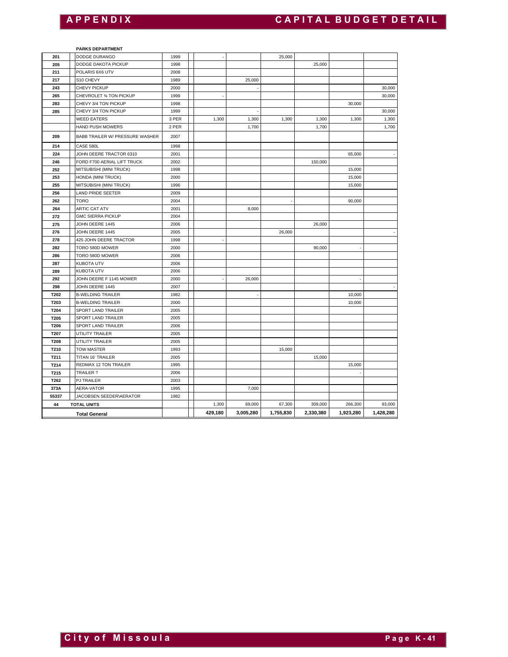# **A P P E N D I X C A P I T A L B U D G E T D E T A I L**

#### **PARKS DEPARTMENT**

| 201         | DODGE DURANGO                   | 1999  |         |           | 25,000    |           |           |           |
|-------------|---------------------------------|-------|---------|-----------|-----------|-----------|-----------|-----------|
| 205         | DODGE DAKOTA PICKUP             | 1998  |         |           |           | 25,000    |           |           |
| 211         | POLARIS 6X6 UTV                 | 2008  |         |           |           |           |           |           |
| 217         | S10 CHEVY                       | 1989  |         | 25,000    |           |           |           |           |
| 243         | CHEVY PICKUP                    | 2000  |         |           |           |           |           | 30,000    |
| 265         | CHEVROLET 34 TON PICKUP         | 1999  |         |           |           |           |           | 30,000    |
| 283         | CHEVY 3/4 TON PICKUP            | 1998  |         |           |           |           | 30,000    |           |
| 285         | CHEVY 3/4 TON PICKUP            | 1999  |         |           |           |           |           | 30,000    |
|             | <b>WEED EATERS</b>              | 3 PER | 1,300   | 1,300     | 1,300     | 1,300     | 1,300     | 1,300     |
|             | HAND PUSH MOWERS                | 2 PER |         | 1,700     |           | 1,700     |           | 1,700     |
| 209         | BABB TRAILER W/ PRESSURE WASHER | 2007  |         |           |           |           |           |           |
| 214         | CASE 580L                       | 1998  |         |           |           |           |           |           |
| 224         | JOHN DEERE TRACTOR 6310         | 2001  |         |           |           |           | 65,000    |           |
| 246         | FORD F700 AERIAL LIFT TRUCK     | 2002  |         |           |           | 150,000   |           |           |
| 252         | MITSUBISHI (MINI TRUCK)         | 1998  |         |           |           |           | 15,000    |           |
| 253         | HONDA (MINI TRUCK)              | 2000  |         |           |           |           | 15,000    |           |
| 255         | MITSUBISHI (MINI TRUCK)         | 1996  |         |           |           |           | 15,000    |           |
| 256         | LAND PRIDE SEETER               | 2009  |         |           |           |           |           |           |
| 262         | <b>TORO</b>                     | 2004  |         |           |           |           | 90,000    |           |
| 264         | <b>ARTIC CAT ATV</b>            | 2001  |         | 8,000     |           |           |           |           |
| 272         | <b>GMC SIERRA PICKUP</b>        | 2004  |         |           |           |           |           |           |
| 275         | JOHN DEERE 1445                 | 2006  |         |           |           | 26,000    |           |           |
| 276         | JOHN DEERE 1445                 | 2005  |         |           | 26,000    |           |           |           |
| 278         | 425 JOHN DEERE TRACTOR          | 1998  |         |           |           |           |           |           |
| 282         | TORO 580D MOWER                 | 2000  |         |           |           | 90,000    |           |           |
| 286         | TORO 580D MOWER                 | 2006  |         |           |           |           |           |           |
| 287         | <b>KUBOTA UTV</b>               | 2006  |         |           |           |           |           |           |
| 289         | <b>KUBOTA UTV</b>               | 2006  |         |           |           |           |           |           |
| 292         | JOHN DEERE F 1145 MOWER         | 2000  |         | 26,000    |           |           |           |           |
| 298         | JOHN DEERE 1445                 | 2007  |         |           |           |           |           |           |
| T202        | <b>B-WELDING TRAILER</b>        | 1982  |         |           |           |           | 10,000    |           |
| T203        | <b>B-WELDING TRAILER</b>        | 2000  |         |           |           |           | 10,000    |           |
| <b>T204</b> | SPORT LAND TRAILER              | 2005  |         |           |           |           |           |           |
| T205        | SPORT LAND TRAILER              | 2005  |         |           |           |           |           |           |
| T206        | SPORT LAND TRAILER              | 2006  |         |           |           |           |           |           |
| T207        | UTILITY TRAILER                 | 2005  |         |           |           |           |           |           |
| T208        | UTILITY TRAILER                 | 2005  |         |           |           |           |           |           |
| T210        | <b>TOW MASTER</b>               | 1993  |         |           | 15,000    |           |           |           |
| T211        | TITAN 16' TRAILER               | 2005  |         |           |           | 15,000    |           |           |
| T214        | REDMAX 12 TON TRAILER           | 1995  |         |           |           |           | 15,000    |           |
| T215        | TRAILER?                        | 2006  |         |           |           |           |           |           |
| T262        | <b>PJ TRAILER</b>               | 2003  |         |           |           |           |           |           |
| 373A        | AERA-VATOR                      | 1995  |         | 7,000     |           |           |           |           |
| 55337       | JACOBSEN SEEDER\AERATOR         | 1982  |         |           |           |           |           |           |
| 44          | <b>TOTAL UNITS</b>              |       | 1,300   | 69,000    | 67,300    | 309,000   | 266,300   | 93,000    |
|             | <b>Total General</b>            |       | 429,180 | 3,005,280 | 1,755,830 | 2,330,380 | 1,923,280 | 1,428,280 |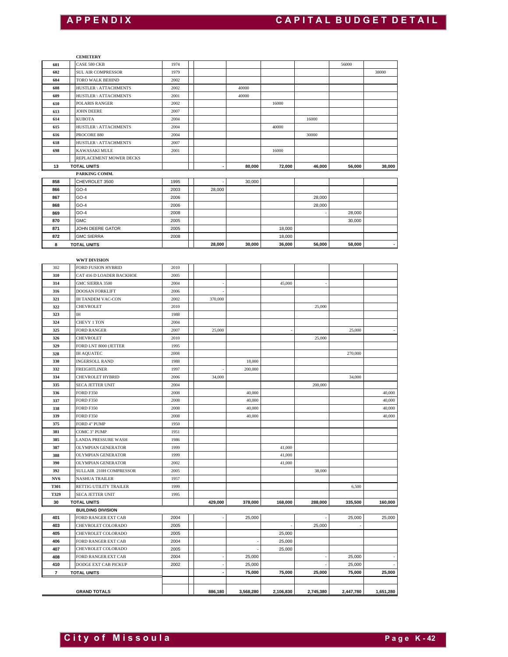#### **CEMETERY**

|                     | <b>CEMETERY</b>                                   |              |                |                  |           |           |                  |           |
|---------------------|---------------------------------------------------|--------------|----------------|------------------|-----------|-----------|------------------|-----------|
|                     | CASE 580 CKB                                      | 1974         |                |                  |           |           | 56000            |           |
| 602                 | SUL AIR COMPRESSOR                                | 1979         |                |                  |           |           |                  | 38000     |
| 604<br>608          | TORO WALK BEHIND                                  | 2002         |                |                  |           |           |                  |           |
| 609                 | HUSTLER \ ATTACHMENTS<br>HUSTLER \ ATTACHMENTS    | 2002<br>2001 |                | 40000<br>40000   |           |           |                  |           |
| 610                 | POLARIS RANGER                                    | 2002         |                |                  | 16000     |           |                  |           |
| 613                 | <b>JOHN DEERE</b>                                 | 2007         |                |                  |           |           |                  |           |
| 614                 | <b>KUBOTA</b>                                     | 2004         |                |                  |           | 16000     |                  |           |
| 615                 | HUSTLER \ ATTACHMENTS                             | 2004         |                |                  | 40000     |           |                  |           |
| 616                 | PROCORE 880                                       | 2004         |                |                  |           | 30000     |                  |           |
| 618<br>698          | HUSTLER \ ATTACHMENTS<br>KAWASAKI MULE            | 2007<br>2001 |                |                  | 16000     |           |                  |           |
|                     | REPLACEMENT MOWER DECKS                           |              |                |                  |           |           |                  |           |
| 13                  | <b>TOTAL UNITS</b>                                |              |                | 80,000           | 72,000    | 46,000    | 56,000           | 38,000    |
|                     | PARKING COMM.                                     |              |                |                  |           |           |                  |           |
| 858                 | CHEVROLET 3500                                    | 1995         |                | 30,000           |           |           |                  |           |
| 866                 | GO-4                                              | 2003         | 28,000         |                  |           |           |                  |           |
| 867                 | $GO-4$                                            | 2006         |                |                  |           | 28,000    |                  |           |
| 868                 | $GO-4$<br>GO-4                                    | 2006<br>2008 |                |                  |           | 28,000    | 28,000           |           |
| 869<br>870          | <b>GMC</b>                                        | 2005         |                |                  |           |           | 30,000           |           |
| 871                 | JOHN DEERE GATOR                                  | 2005         |                |                  | 18,000    |           |                  |           |
| 872                 | <b>GMC SIERRA</b>                                 | 2008         |                |                  | 18,000    |           |                  |           |
| 8                   | <b>TOTAL UNITS</b>                                |              | 28,000         | 30,000           | 36,000    | 56,000    | 58,000           |           |
|                     |                                                   |              |                |                  |           |           |                  |           |
|                     | <b>WWT DIVISION</b>                               |              |                |                  |           |           |                  |           |
| 302                 | FORD FUSION HYBRID                                | 2010         |                |                  |           |           |                  |           |
| 310<br>314          | CAT 416 D LOADER BACKHOE<br>GMC SIERRA 3500       | 2005<br>2004 |                |                  | 45,000    |           |                  |           |
| 316                 | <b>DOOSAN FORKLIFT</b>                            | 2006         |                |                  |           |           |                  |           |
| 321                 | <b>IH TANDEM VAC-CON</b>                          | 2002         | 370,000        |                  |           |           |                  |           |
| 322                 | <b>CHEVROLET</b>                                  | 2010         |                |                  |           | 25,000    |                  |           |
| 323                 | IΗ                                                | 1988         |                |                  |           |           |                  |           |
| 324                 | CHEVY 1 TON                                       | 2004         |                |                  |           |           |                  |           |
| 325                 | <b>FORD RANGER</b>                                | 2007         | 25,000         |                  |           |           | 25,000           |           |
| 326                 | <b>CHEVROLET</b>                                  | 2010         |                |                  |           | 25,000    |                  |           |
| 329                 | FORD LNT 8000 (JETTER<br><b>IH AQUATEC</b>        | 1995<br>2008 |                |                  |           |           | 270,000          |           |
| 328<br>330          | <b>INGERSOLL RAND</b>                             | 1988         |                | 18,000           |           |           |                  |           |
| 332                 | <b>FREIGHTLINER</b>                               | 1997         |                | 200,000          |           |           |                  |           |
| 334                 | CHEVROLET HYBRID                                  | 2006         | 34,000         |                  |           |           | 34,000           |           |
| 335                 | <b>SECA JETTER UNIT</b>                           | 2004         |                |                  |           | 200,000   |                  |           |
| 336                 | <b>FORD F350</b>                                  | 2008         |                | 40,000           |           |           |                  | 40,000    |
| 337                 | FORD F350                                         | 2008         |                | 40,000           |           |           |                  | 40,000    |
| 338                 | <b>FORD F350</b>                                  | 2008         |                | 40,000           |           |           |                  | 40,000    |
| 339<br>375          | <b>FORD F350</b>                                  | 2008         |                | 40,000           |           |           |                  | 40,000    |
| 381                 | FORD 4" PUMP<br>COMC 3" PUMP                      | 1950<br>1951 |                |                  |           |           |                  |           |
| 385                 | LANDA PRESSURE WASH                               | 1986         |                |                  |           |           |                  |           |
| 387                 | <b>OLYMPIAN GENERATOR</b>                         | 1999         |                |                  | 41,000    |           |                  |           |
| 388                 | OLYMPIAN GENERATOR                                | 1999         |                |                  | 41,000    |           |                  |           |
| 390                 | OLYMPIAN GENERATOR                                | 2002         |                |                  | 41,000    |           |                  |           |
| 392                 | SULLAIR 210H COMPRESSOR                           | 2005         |                |                  |           | 38,000    |                  |           |
| NV6                 | <b>NASHUA TRAILER</b>                             | 1957         |                |                  |           |           |                  |           |
| <b>T301</b><br>T329 | RETTIG UTILITY TRAILER<br><b>SECA JETTER UNIT</b> | 1999<br>1995 |                |                  |           |           | 6,500            |           |
| 30                  | <b>TOTAL UNITS</b>                                |              | 429,000        | 378,000          | 168,000   | 288,000   | 335,500          | 160,000   |
|                     | <b>BUILDING DIVISION</b>                          |              |                |                  |           |           |                  |           |
| 401                 | FORD RANGER EXT CAB                               | 2004         |                | 25,000           |           |           | 25,000           | 25,000    |
| 403                 | CHEVROLET COLORADO                                | 2005         |                |                  |           | 25,000    |                  |           |
| 405                 | CHEVROLET COLORADO                                | 2005         |                |                  | 25,000    |           |                  |           |
| 406                 | FORD RANGER EXT CAB                               | 2004         |                |                  | 25,000    |           |                  |           |
| 407                 | CHEVROLET COLORADO                                | 2005         |                |                  | 25,000    |           |                  |           |
| 408                 | FORD RANGER EXT CAB                               | 2004         |                | 25,000           |           |           | 25,000           |           |
| 410                 | DODGE EXT CAB PICKUP                              | 2002         | $\blacksquare$ | 25,000<br>75,000 | 75,000    | 25,000    | 25,000<br>75,000 | 25,000    |
| $\overline{7}$      | <b>TOTAL UNITS</b>                                |              |                |                  |           |           |                  |           |
|                     |                                                   |              |                | 3,568,280        | 2,106,830 | 2,745,380 | 2,447,780        |           |
|                     | <b>GRAND TOTALS</b>                               |              | 886,180        |                  |           |           |                  | 1,651,280 |

 $\overline{\phantom{a}}$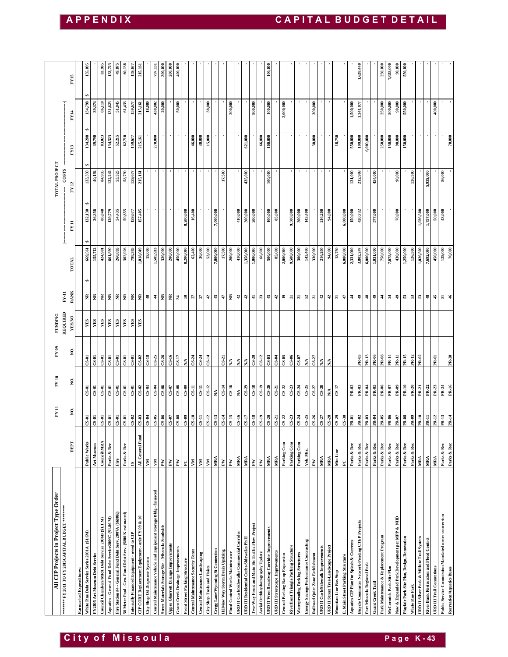| <b>APPENDIX</b>                                    |                        |                                              |                                |                                                   |                                                      |                                                          |                                                          |                                             |                                                  |                                |                                                                   |                                                    |                                     |                                          |                                |                                    |                                 |                            |                                  |                                   |                                 |                                           |                                           |                                                 |                                                                               |                                  |                                                                       |                                       |                                  | CAPITAL BUDGET DETAIL                  |                                  |                                                                           |                         |                                  |                                         |                                                                                                                                             |                             |                          |                                        |                          |                                               |                                             |                 |                                            |                                                                              |         |
|----------------------------------------------------|------------------------|----------------------------------------------|--------------------------------|---------------------------------------------------|------------------------------------------------------|----------------------------------------------------------|----------------------------------------------------------|---------------------------------------------|--------------------------------------------------|--------------------------------|-------------------------------------------------------------------|----------------------------------------------------|-------------------------------------|------------------------------------------|--------------------------------|------------------------------------|---------------------------------|----------------------------|----------------------------------|-----------------------------------|---------------------------------|-------------------------------------------|-------------------------------------------|-------------------------------------------------|-------------------------------------------------------------------------------|----------------------------------|-----------------------------------------------------------------------|---------------------------------------|----------------------------------|----------------------------------------|----------------------------------|---------------------------------------------------------------------------|-------------------------|----------------------------------|-----------------------------------------|---------------------------------------------------------------------------------------------------------------------------------------------|-----------------------------|--------------------------|----------------------------------------|--------------------------|-----------------------------------------------|---------------------------------------------|-----------------|--------------------------------------------|------------------------------------------------------------------------------|---------|
|                                                    |                        |                                              |                                |                                                   |                                                      |                                                          |                                                          |                                             |                                                  |                                |                                                                   |                                                    |                                     |                                          |                                |                                    |                                 |                            |                                  |                                   |                                 |                                           |                                           |                                                 |                                                                               |                                  |                                                                       |                                       |                                  |                                        |                                  |                                                                           |                         |                                  |                                         |                                                                                                                                             |                             |                          |                                        |                          |                                               |                                             |                 |                                            |                                                                              |         |
| FY15                                               |                        | 135,095                                      |                                | 83,985                                            | 133,723                                              | 49,875                                                   | 60,138                                                   | 159,677                                     | 215,161                                          |                                | 797,131                                                           | 300,000                                            | 200,000                             | 400,000                                  |                                |                                    |                                 |                            |                                  |                                   |                                 |                                           |                                           |                                                 | 100,000                                                                       |                                  |                                                                       |                                       |                                  |                                        |                                  |                                                                           |                         |                                  |                                         | 1,628,440                                                                                                                                   |                             |                          | 250,000                                | 7,025,000                | 90,000                                        | 550,000                                     |                 |                                            |                                                                              |         |
| FY14                                               |                        | 134,798                                      | 39,374                         | 86,110                                            | 131,623                                              | 51,045                                                   | 61,433                                                   | 159,677                                     | 215,161                                          | 18,000                         | 438,802                                                           | 20,000                                             |                                     | 50,000                                   |                                |                                    |                                 | 38,000                     |                                  |                                   | 200,000                         |                                           |                                           | 800,000                                         | 100,000                                                                       |                                  | 2,000,000                                                             |                                       |                                  |                                        | 300,000                          |                                                                           |                         |                                  | 1,500,000                               | 1,341,077                                                                                                                                   |                             |                          | 250,000                                | 500,000                  | 90,000                                        | 550,000                                     |                 |                                            |                                                                              | 400,000 |
| FY13                                               |                        | 134,208                                      | 39,790                         | 83,023                                            | 134,523                                              | 52,215                                                   | 62,710                                                   | 159,677                                     | 215,161                                          |                                | 270,000                                                           |                                                    |                                     |                                          |                                | 46,000                             | 30,000                          | 15,000                     |                                  |                                   |                                 |                                           | 621,000                                   |                                                 | 66,800<br>100,000                                                             |                                  |                                                                       |                                       |                                  |                                        | 30,000                           |                                                                           | 18,750                  |                                  | 550,000                                 | 199,000                                                                                                                                     | 6,000,000                   |                          | 250,000                                | 150,000                  | 90,000                                        | 150,000                                     |                 |                                            |                                                                              |         |
| COSTS<br>FY 12                                     |                        | 133,330                                      | 40,192                         | 84,935                                            | 132,242                                              | 53,325                                                   | 58,790                                                   | 159,677                                     | 215,161                                          |                                |                                                                   |                                                    |                                     |                                          |                                |                                    |                                 |                            |                                  | 17,500                            |                                 |                                           | 435,000                                   |                                                 | 100,000                                                                       |                                  |                                                                       |                                       |                                  |                                        |                                  |                                                                           |                         |                                  | 131,000                                 | 212,998                                                                                                                                     |                             | 454,000                  |                                        |                          | 90,000                                        |                                             | 126,500         |                                            | 5,935,000                                                                    |         |
| FY 11                                              |                        | 132,130                                      | 36,356                         | 86,848                                            | 129,779                                              | 54,435                                                   | 59,855                                                   | 159,677                                     | 157,405                                          |                                |                                                                   |                                                    |                                     |                                          | 8,200,000                      | 16,400                             |                                 |                            | 7,000,000                        |                                   |                                 | 410,000                                   | 300,000                                   | 200,000                                         | 100,000                                                                       | 85,000                           |                                                                       | 9,500,000                             | 300,000                          | 143,400                                |                                  | 216,200<br>94,000                                                         |                         | 6,000,000                        | 150,000                                 | 420,732                                                                                                                                     |                             | 577,000                  |                                        |                          | 70,000                                        |                                             |                 | 1,026,500                                  | 1,757,000<br>50,000                                                          |         |
| ⊥<br>TOTAL                                         |                        | 669,561                                      | 155,712                        | 424,901                                           | 661,890                                              | 260,895                                                  | 302,926                                                  | 798,385                                     | 1,018,049                                        | 18,000                         | 1,505,933                                                         | 320,000                                            | 200,000                             | 450,000                                  | 8,200,000                      | 62,400                             | 30,000                          | 53,000                     | 7,000,000                        | 17,500                            | 200,000                         | 410,000                                   | 1,356,000                                 | 1,000,000                                       | 500,000<br>66,800                                                             | 85,000                           | 2,000,000                                                             | 9,500,000                             | 300,000                          | 143,400                                | 330,000                          | 216,200<br>94,000                                                         | 18,750                  | 6,000,000                        | 2,331,000                               | 3,802,247                                                                                                                                   | 6,000,000                   | 1,031,000                | 750,000                                | 7,675,000                | 430,000                                       | 1,250,000                                   | 126,500         | 1,026,500                                  | 450,000<br>7,692,000                                                         |         |
| <b>RANK</b><br>$_{\rm{F11}}$                       |                        | ž                                            | ž                              | ž                                                 | ž                                                    | ž                                                        | ž                                                        | $\widetilde{\Xi}$                           | ž                                                | $\ddot{ }$                     | $\frac{4}{3}$                                                     | ž                                                  | ž                                   | 34                                       | និ                             | 27                                 | 27                              | $\ddot{a}$                 | 45                               | 47                                | ž                               | $\boldsymbol{d}$                          | $\ddot{a}$                                | $\ddot{=}$                                      | $33\,$<br>45                                                                  | $\boldsymbol{d}$                 | $\mathbf{r}$                                                          | $\overline{\mathbf{a}}$               | $\overline{\mathbf{5}}$          | 52                                     | $\overline{\mathbf{a}}$          | 42<br>$\boldsymbol{d}$                                                    | $\overline{\mathbf{a}}$ | $\ddot{t}$                       | $\frac{4}{3}$                           | \$                                                                                                                                          | $\frac{48}{5}$              | $\frac{3}{4}$            | $\frac{4}{3}$                          | $\boldsymbol{z}$         | $\clubsuit$                                   | $\boldsymbol{\mathbb{S}}$                   | ${\bf 53}$      | $\boldsymbol{\mathbb{S}}$                  | 48<br>45                                                                     |         |
| REQUIRED<br><b>YESNO</b>                           |                        | YES                                          | YES                            | YES                                               | YES                                                  | YES                                                      | YES                                                      | YES                                         | YES                                              |                                |                                                                   |                                                    |                                     |                                          |                                |                                    |                                 |                            |                                  |                                   |                                 |                                           |                                           |                                                 |                                                                               |                                  |                                                                       |                                       |                                  |                                        |                                  |                                                                           |                         |                                  |                                         |                                                                                                                                             |                             |                          |                                        |                          |                                               |                                             |                 |                                            |                                                                              |         |
| ş.                                                 |                        | $C-S-1$                                      | $CS-01$                        | $CS-01$                                           | $C S-01$                                             | $CS-01$                                                  | $C$ S-01                                                 | $C5-01$                                     | $CS-02$                                          | $CS-18$                        | $CS-25$                                                           | $CS-26$                                            | $CS-16$                             | $C-S-17$                                 | $\sum_{i=1}^{n}$               | $CS-24$                            | $CS-24$                         | $CS-14$                    |                                  | $CS-21$                           | $\tilde{\mathbf{N}}$            | $\mathbf{N}/\mathbf{A}$                   | $\mathbf{N}$                              | $CS-20$                                         | $CS-12$<br>$CS-0.3$                                                           | $C$ S-04                         | $CS-0.5$                                                              | $C-S-06$                              | $CS-07$                          | $\mathbf{N} \mathbf{A}$                | $CS-27$                          | N/A<br>λ,                                                                 |                         |                                  |                                         | <b>PR-05</b>                                                                                                                                | PR-13                       | PR-06                    | PR-08                                  | PR-14                    | <b>PR-11</b>                                  | PR-15                                       | PR-12           | PR-02                                      | <b>PR-01</b>                                                                 |         |
| ş.                                                 |                        | $CS-01$                                      | $_{\rm CS-01}$                 | $\frac{1}{3}$                                     |                                                      |                                                          |                                                          | $CS-01$                                     | $CS-02$                                          | $\frac{1}{2}$                  |                                                                   |                                                    |                                     |                                          |                                |                                    |                                 |                            |                                  |                                   | $9F-S2$                         | $\tilde{\mathbf{z}}$                      | 8-39<br>S-18<br>S-19                      |                                                 | $CS-20$                                                                       |                                  | $\frac{5}{3}$ $\frac{1}{3}$ $\frac{1}{3}$ $\frac{1}{3}$ $\frac{1}{2}$ |                                       |                                  | $CS-25$                                | $rac{37}{15}$                    | $\mathbb{N}^{\mathbb{A}}$                                                 | $\sqrt{1-S}$            |                                  |                                         | $\begin{array}{ c c }\n\hline\n\text{R-03}\n\\ \hline\n\text{R-04}\n\\ \hline\n\text{R-05}\n\\ \hline\n\text{R-05}\n\\ \hline\n\end{array}$ |                             |                          | PR-06                                  | PR-07                    | PR-09<br>PR-10                                |                                             | PR-20<br>PR-21  |                                            | PR-22<br>PR-23                                                               |         |
| ġ                                                  |                        | US-01                                        | $CS-01$                        | $C-S-01$                                          | $CS-01$                                              | $C S - 01$                                               | $CS-01$                                                  | $CS-02$                                     | $CS-03$                                          | C.S.04                         | $CS-05$                                                           | $CS-06$                                            | $CS-07$                             | $CS-0.8$                                 | $CS-00$                        | $CS-10$                            | $CS-11$                         | $CS-12$                    | $CS-13$                          | $CS-14$                           | $CS-15$                         | $CS-16$                                   | $CS-I7$                                   | $CS-18$<br>$CS-19$                              | $CS-20$                                                                       | $CS-21$                          | $CS - 22$                                                             | $CS-23$                               | $CS-24$                          | $CS-25$                                | $CS-26$                          | $CS-27$<br>$CS-28$                                                        | $CS-29$                 | $CS-30$                          | PR-01                                   | $PR-02$                                                                                                                                     | PR-03                       | PR-04                    | PR-05                                  | PR-06                    | 20-ad                                         | $80 - 814$                                  | PR-09           | PR-10                                      | PR-12<br>PR-11                                                               |         |
| DEPT.                                              |                        | Public Work                                  | Art Museum                     | Council/MRA                                       | Parks & Rec                                          | Fire                                                     | Parks & Rec                                              | $\mathbf{S}$                                | All General Fund                                 | XМ                             | $\mathbf{M}$                                                      | $\tilde{\mathbf{r}}$                               | $\mathbb{R}^N$                      | $\mathbb{R}^N$                           | $\frac{1}{24}$                 |                                    | $\rm M$                         | ΚŃ                         | NRA<br>PW                        |                                   | $\mathbb{R}$                    | MRA                                       | MRA                                       | $\mathbf{M}$<br>M <sub>d</sub>                  | MRA                                                                           | MRA                              | Parking Com                                                           | Parking Com                           | Parking Com                      | Veh. Mtc.                              | $\mathbf{K}$                     | MRA<br>MRA                                                                | MtnLine                 | $\tilde{P}$                      | Parks & Rec                             | Parks & Rec                                                                                                                                 | Parks & Rec                 | Parks & Rec              | Parks & Rec                            | Parks & Rec              | Parks & Rec                                   | Parks & Rec                                 | Parks & Rec     | MRA                                        | MRA<br>MRA                                                                   |         |
| ******* FY 2011 TO FY 2015CAPITAL BUDGET ********* | Earmarked Expenditures | White Pine Debt Service Series 2001A (\$1.6M | FY2005 Art Museum Debt Service | Council Chambers/MRA Debt Service 2006B (\$1.1 M) | Aquatics - General Fund Debt Service2006C (\$1.86 M) | Fire Station #4 - General Fund Debt Serv. 2007A (\$680K) | 50 Meter Pool - Gen. Fund Debt Serv. (\$800 K estimated) | Internally Financed Equipment - owed to CIP | CIP CORE Replacement Equipment - only FY 09 & 10 | City Shop Oil Dispenser System | Central Maintenance Vehicle and Equipment Storage Bldg - financed | Street Materials Storage Site - Missoula Southside | Upper Gharrett Drainge Improvements | <b>Grant Creek Drainage Improvements</b> | Front Street Parking Structure | Central Maintenance Security Fence | Central Maintenance Landscaping | City Shop Tools and Hoists | Cregg Lane/Wyoming St Connection | Hillview Way Storm Drain Upsizing | Flood Control Works Maintenance | URD II Curb/Sidewalks Commercial Corridor | URD III Residential Curbs-Sidewalks Ph II | Two-Way Front and Main Sts Traffic Flow Project | URD II West Broadway Corridor Improvements<br>Aerial Orthhophotography Update | URD III Streetscape Improvements | Central Parking Ramp Expansion                                        | Riverfront Triangle Parking Structure | Waterproofing Parking Structures | Energy Savings Performance Contracting | Railroad Quiet Zone Estblishment | URD II Curb/Sidewalk Improvements<br>URD II Street Tree-Landscape Project | Mountian Line Bus Stop  | E. Main Street Parking Structure | Aquatics CIP Plan for Splash & Currents | Bicycle Commuter Network-Pending CTEP Projects                                                                                              | Fort Missoula Regional Park | <b>Grant Creek Trail</b> | Park Maintenance & Replacement Program | McCormick Park Site Plan | New & Expanded Park Development per MPP & NHD | Playfair Park Site Plan, Design, Renovation | White Pine Park | URD II Silver Park & Millsite Trail System | River Bank Restoration and Flood Control<br><b>URD III Trail Connections</b> |         |